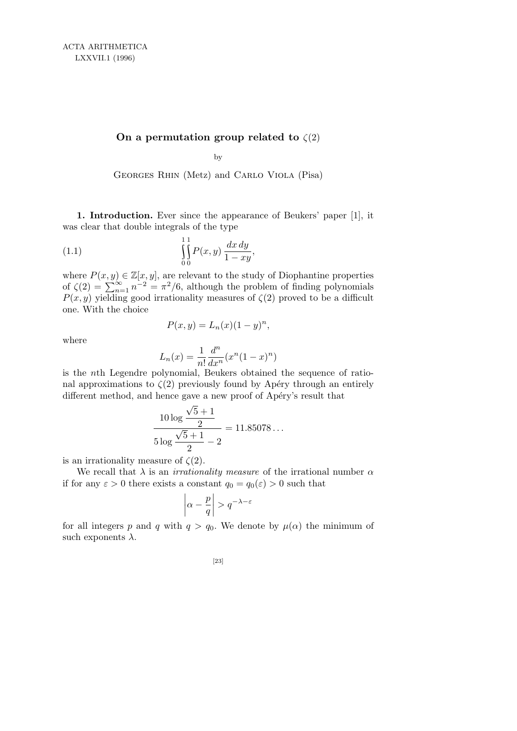## **On a permutation group related to** *ζ*(2)

by

Georges Rhin (Metz) and Carlo Viola (Pisa)

**1. Introduction.** Ever since the appearance of Beukers' paper [1], it was clear that double integrals of the type

(1.1) 
$$
\int_{0}^{1} P(x, y) \frac{dx dy}{1 - xy},
$$

where  $P(x, y) \in \mathbb{Z}[x, y]$ , are relevant to the study of Diophantine properties<br>of  $\zeta(2) = \sum_{n=1}^{\infty} n^{-2} = \pi^2/6$ , although the problem of finding polynomials  $\sum_{n=1}^{\infty} n^{-2} = \frac{\pi^2}{6}$ , although the problem of finding polynomials  $P(x, y)$  yielding good irrationality measures of  $\zeta(2)$  proved to be a difficult one. With the choice

$$
P(x, y) = L_n(x)(1 - y)^n,
$$

where

$$
L_n(x) = \frac{1}{n!} \frac{d^n}{dx^n} (x^n (1-x)^n)
$$

is the *n*th Legendre polynomial, Beukers obtained the sequence of rational approximations to  $\zeta(2)$  previously found by Apéry through an entirely different method, and hence gave a new proof of Apéry's result that

$$
\frac{10\log\frac{\sqrt{5}+1}{2}}{5\log\frac{\sqrt{5}+1}{2}-2} = 11.85078...
$$

is an irrationality measure of *ζ*(2)*.*

We recall that  $\lambda$  is an *irrationality measure* of the irrational number  $\alpha$ if for any  $\varepsilon > 0$  there exists a constant  $q_0 = q_0(\varepsilon) > 0$  such that

$$
\left|\alpha-\frac{p}{q}\right|>q^{-\lambda-\varepsilon}
$$

for all integers p and q with  $q > q_0$ . We denote by  $\mu(\alpha)$  the minimum of such exponents *λ.*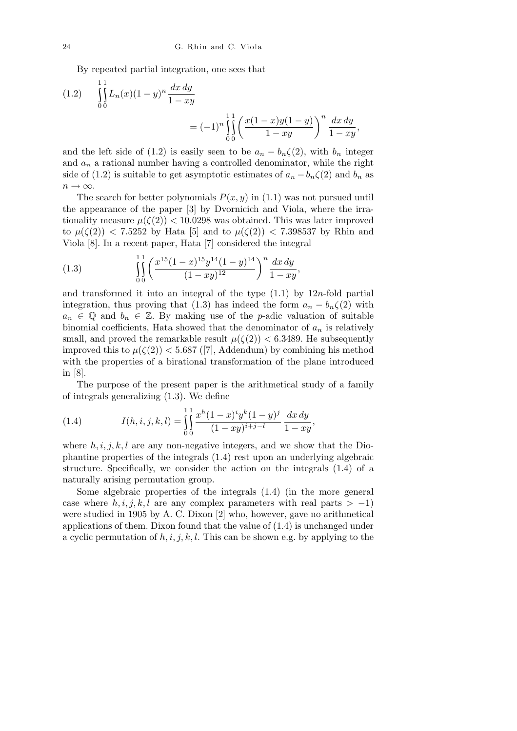By repeated partial integration, one sees that

(1.2) 
$$
\iint_{0}^{1} L_n(x) (1 - y)^n \frac{dx dy}{1 - xy} = (-1)^n \iint_{0}^{1} \left( \frac{x(1 - x)y(1 - y)}{1 - xy} \right)^n \frac{dx dy}{1 - xy},
$$

and the left side of (1.2) is easily seen to be  $a_n - b_n \zeta(2)$ , with  $b_n$  integer and  $a_n$  a rational number having a controlled denominator, while the right side of (1.2) is suitable to get asymptotic estimates of  $a_n - b_n \zeta(2)$  and  $b_n$  as  $n \rightarrow \infty$ .

The search for better polynomials  $P(x, y)$  in (1.1) was not pursued until the appearance of the paper [3] by Dvornicich and Viola, where the irrationality measure  $\mu(\zeta(2)) < 10.0298$  was obtained. This was later improved to  $\mu(\zeta(2))$  < 7.5252 by Hata [5] and to  $\mu(\zeta(2))$  < 7.398537 by Rhin and Viola [8]. In a recent paper, Hata [7] considered the integral

(1.3) 
$$
\int_{0}^{1} \left( \frac{x^{15}(1-x)^{15}y^{14}(1-y)^{14}}{(1-xy)^{12}} \right)^n \frac{dx \, dy}{1-xy},
$$

and transformed it into an integral of the type (1.1) by 12*n*-fold partial integration, thus proving that (1.3) has indeed the form  $a_n - b_n \zeta(2)$  with  $a_n \in \mathbb{Q}$  and  $b_n \in \mathbb{Z}$ . By making use of the *p*-adic valuation of suitable binomial coefficients, Hata showed that the denominator of  $a_n$  is relatively small, and proved the remarkable result  $\mu(\zeta(2)) < 6.3489$ . He subsequently improved this to  $\mu(\zeta(2))$  < 5.687 ([7], Addendum) by combining his method with the properties of a birational transformation of the plane introduced in [8].

The purpose of the present paper is the arithmetical study of a family of integrals generalizing (1.3). We define

(1.4) 
$$
I(h, i, j, k, l) = \int_{0}^{1} \int_{0}^{x} \frac{x^{h}(1-x)^{i}y^{k}(1-y)^{j}}{(1-xy)^{i+j-l}} \frac{dx dy}{1-xy},
$$

where  $h, i, j, k, l$  are any non-negative integers, and we show that the Diophantine properties of the integrals (1.4) rest upon an underlying algebraic structure. Specifically, we consider the action on the integrals (1.4) of a naturally arising permutation group.

Some algebraic properties of the integrals (1.4) (in the more general case where  $h, i, j, k, l$  are any complex parameters with real parts  $> -1$ ) were studied in 1905 by A. C. Dixon [2] who, however, gave no arithmetical applications of them. Dixon found that the value of (1.4) is unchanged under a cyclic permutation of  $h, i, j, k, l$ . This can be shown e.g. by applying to the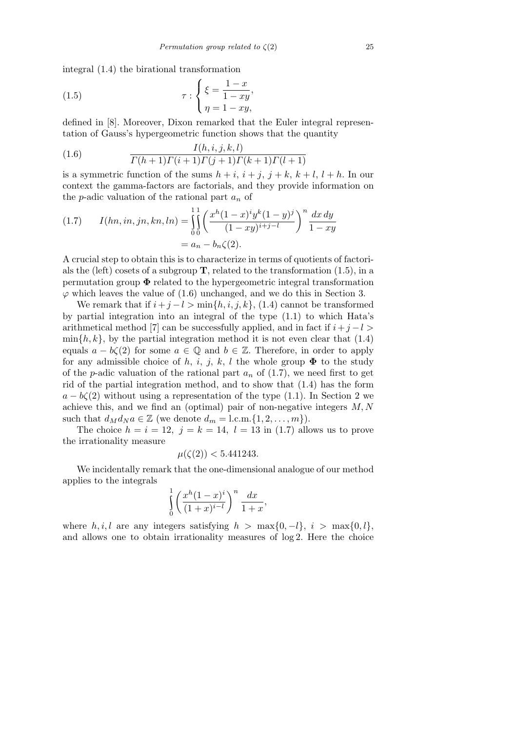integral (1.4) the birational transformation

(1.5) 
$$
\tau : \begin{cases} \xi = \frac{1-x}{1-xy}, \\ \eta = 1-xy, \end{cases}
$$

defined in [8]. Moreover, Dixon remarked that the Euler integral representation of Gauss's hypergeometric function shows that the quantity

(1.6) 
$$
\frac{I(h, i, j, k, l)}{\Gamma(h+1)\Gamma(i+1)\Gamma(j+1)\Gamma(k+1)\Gamma(l+1)}
$$

is a symmetric function of the sums  $h + i$ ,  $i + j$ ,  $j + k$ ,  $k + l$ ,  $l + h$ . In our context the gamma-factors are factorials, and they provide information on the *p*-adic valuation of the rational part *a<sup>n</sup>* of

(1.7) 
$$
I(hn, in, jn, kn, ln) = \iint_{0}^{11} \left( \frac{x^h (1-x)^i y^k (1-y)^j}{(1-xy)^{i+j-l}} \right)^n \frac{dx dy}{1-xy}
$$

$$
= a_n - b_n \zeta(2).
$$

A crucial step to obtain this is to characterize in terms of quotients of factorials the (left) cosets of a subgroup **T***,* related to the transformation (1.5), in a permutation group **Φ** related to the hypergeometric integral transformation  $\varphi$  which leaves the value of (1.6) unchanged, and we do this in Section 3.

We remark that if  $i + j - l > \min\{h, i, j, k\}$ , (1.4) cannot be transformed by partial integration into an integral of the type (1.1) to which Hata's arithmetical method [7] can be successfully applied, and in fact if  $i + j - l$  >  $\min\{h, k\}$ , by the partial integration method it is not even clear that (1.4) equals  $a - b\zeta(2)$  for some  $a \in \mathbb{Q}$  and  $b \in \mathbb{Z}$ . Therefore, in order to apply for any admissible choice of *h, i, j, k, l* the whole group  $\Phi$  to the study of the *p*-adic valuation of the rational part  $a_n$  of (1.7), we need first to get rid of the partial integration method, and to show that (1.4) has the form  $a - b\zeta(2)$  without using a representation of the type (1.1). In Section 2 we achieve this, and we find an (optimal) pair of non-negative integers *M, N* such that  $d_M d_N a \in \mathbb{Z}$  (we denote  $d_m = 1, \text{c.m.} \{1, 2, \ldots, m\}$ ).

The choice  $h = i = 12$ ,  $j = k = 14$ ,  $l = 13$  in (1.7) allows us to prove the irrationality measure

$$
\mu(\zeta(2)) < 5.441243.
$$

We incidentally remark that the one-dimensional analogue of our method applies to the integrals

$$
\int_{0}^{1} \left( \frac{x^h (1-x)^i}{(1+x)^{i-l}} \right)^n \frac{dx}{1+x},
$$

where  $h, i, l$  are any integers satisfying  $h > \max\{0, -l\}, i > \max\{0, l\},$ and allows one to obtain irrationality measures of log 2*.* Here the choice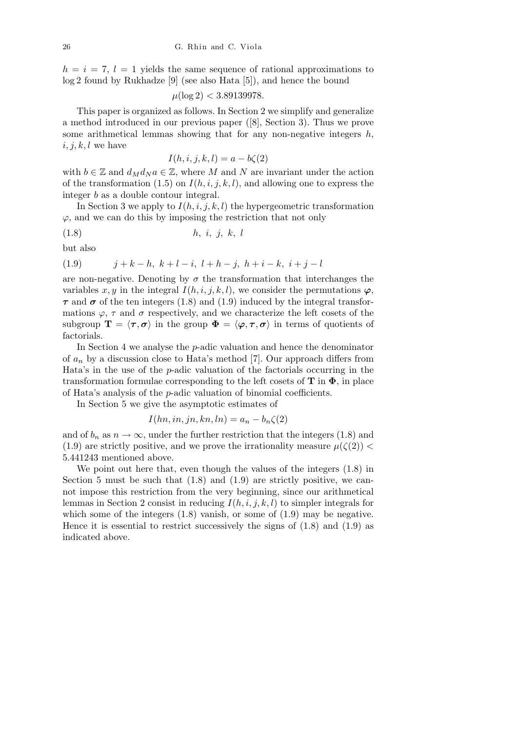$h = i = 7, l = 1$  yields the same sequence of rational approximations to log 2 found by Rukhadze [9] (see also Hata [5]), and hence the bound

 $\mu(\log 2)$  < 3.89139978*.* 

This paper is organized as follows. In Section 2 we simplify and generalize a method introduced in our previous paper ([8], Section 3). Thus we prove some arithmetical lemmas showing that for any non-negative integers *h, i, j, k, l* we have

$$
I(h, i, j, k, l) = a - b\zeta(2)
$$

with  $b \in \mathbb{Z}$  and  $d_M d_N a \in \mathbb{Z}$ , where M and N are invariant under the action of the transformation  $(1.5)$  on  $I(h, i, j, k, l)$ , and allowing one to express the integer *b* as a double contour integral.

In Section 3 we apply to  $I(h, i, j, k, l)$  the hypergeometric transformation *ϕ,* and we can do this by imposing the restriction that not only

$$
(1.8) \t\t\t h, i, j, k, l
$$

but also

$$
(1.9) \t j+k-h, k+l-i, l+h-j, h+i-k, i+j-l
$$

are non-negative. Denoting by  $\sigma$  the transformation that interchanges the variables  $x, y$  in the integral  $I(h, i, j, k, l)$ , we consider the permutations  $\varphi$ ,  $\tau$  and  $\sigma$  of the ten integers (1.8) and (1.9) induced by the integral transformations  $\varphi$ ,  $\tau$  and  $\sigma$  respectively, and we characterize the left cosets of the subgroup  $\mathbf{T} = \langle \tau, \sigma \rangle$  in the group  $\Phi = \langle \varphi, \tau, \sigma \rangle$  in terms of quotients of factorials.

In Section 4 we analyse the *p*-adic valuation and hence the denominator of  $a_n$  by a discussion close to Hata's method [7]. Our approach differs from Hata's in the use of the *p*-adic valuation of the factorials occurring in the transformation formulae corresponding to the left cosets of **T** in **Φ***,* in place of Hata's analysis of the *p*-adic valuation of binomial coefficients.

In Section 5 we give the asymptotic estimates of

$$
I(hn, in, jn, kn, ln) = a_n - b_n \zeta(2)
$$

and of  $b_n$  as  $n \to \infty$ , under the further restriction that the integers (1.8) and (1.9) are strictly positive, and we prove the irrationality measure  $\mu(\zeta(2))$  < 5*.*441243 mentioned above.

We point out here that, even though the values of the integers (1.8) in Section 5 must be such that  $(1.8)$  and  $(1.9)$  are strictly positive, we cannot impose this restriction from the very beginning, since our arithmetical lemmas in Section 2 consist in reducing *I*(*h, i, j, k, l*) to simpler integrals for which some of the integers  $(1.8)$  vanish, or some of  $(1.9)$  may be negative. Hence it is essential to restrict successively the signs of  $(1.8)$  and  $(1.9)$  as indicated above.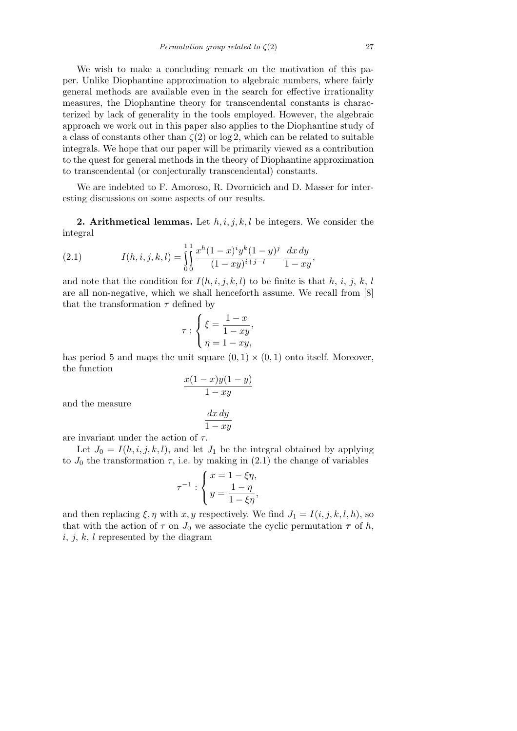We wish to make a concluding remark on the motivation of this paper. Unlike Diophantine approximation to algebraic numbers, where fairly general methods are available even in the search for effective irrationality measures, the Diophantine theory for transcendental constants is characterized by lack of generality in the tools employed. However, the algebraic approach we work out in this paper also applies to the Diophantine study of a class of constants other than  $\zeta(2)$  or log 2, which can be related to suitable integrals. We hope that our paper will be primarily viewed as a contribution to the quest for general methods in the theory of Diophantine approximation to transcendental (or conjecturally transcendental) constants.

We are indebted to F. Amoroso, R. Dvornicich and D. Masser for interesting discussions on some aspects of our results.

**2. Arithmetical lemmas.** Let *h, i, j, k, l* be integers. We consider the integral

(2.1) 
$$
I(h, i, j, k, l) = \int_{0}^{1} \int_{0}^{x} \frac{x^{h}(1-x)^{i}y^{k}(1-y)^{j}}{(1-xy)^{i+j-l}} \frac{dx dy}{1-xy},
$$

and note that the condition for  $I(h, i, j, k, l)$  to be finite is that h, i, j, k, l are all non-negative, which we shall henceforth assume. We recall from [8] that the transformation  $\tau$  defined by

$$
\tau : \begin{cases} \xi = \frac{1-x}{1-xy}, \\ \eta = 1-xy, \end{cases}
$$

has period 5 and maps the unit square  $(0,1) \times (0,1)$  onto itself. Moreover, the function

$$
\frac{x(1-x)y(1-y)}{1-xy}
$$

and the measure

$$
\frac{dx\,dy}{1-xy}
$$

are invariant under the action of *τ.*

Let  $J_0 = I(h, i, j, k, l)$ , and let  $J_1$  be the integral obtained by applying to  $J_0$  the transformation  $\tau$ , i.e. by making in (2.1) the change of variables

$$
\tau^{-1} : \begin{cases} x = 1 - \xi \eta, \\ y = \frac{1 - \eta}{1 - \xi \eta}, \end{cases}
$$

and then replacing  $\xi, \eta$  with  $x, y$  respectively. We find  $J_1 = I(i, j, k, l, h)$ , so that with the action of  $\tau$  on  $J_0$  we associate the cyclic permutation  $\tau$  of h, *i, j, k, l* represented by the diagram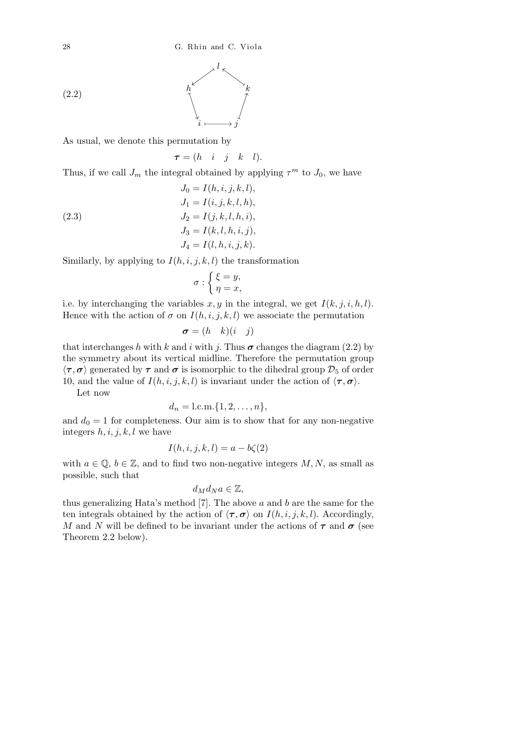

As usual, we denote this permutation by

 $\tau = (h \quad i \quad j \quad k \quad l).$ 

Thus, if we call  $J_m$  the integral obtained by applying  $\tau^m$  to  $J_0$ , we have

(2.3)  
\n
$$
J_0 = I(h, i, j, k, l),
$$
\n
$$
J_1 = I(i, j, k, l, h),
$$
\n
$$
J_2 = I(j, k, l, h, i),
$$
\n
$$
J_3 = I(k, l, h, i, j),
$$
\n
$$
J_4 = I(l, h, i, j, k).
$$

Similarly, by applying to  $I(h, i, j, k, l)$  the transformation

$$
\sigma : \begin{cases} \xi = y, \\ \eta = x, \end{cases}
$$

i.e. by interchanging the variables  $x, y$  in the integral, we get  $I(k, j, i, h, l)$ . Hence with the action of  $\sigma$  on  $I(h, i, j, k, l)$  we associate the permutation

$$
\boldsymbol{\sigma} = (h \quad k)(i \quad j)
$$

that interchanges h with k and i with j. Thus  $\sigma$  changes the diagram (2.2) by the symmetry about its vertical midline. Therefore the permutation group  $\langle \tau, \sigma \rangle$  generated by  $\tau$  and  $\sigma$  is isomorphic to the dihedral group  $\mathcal{D}_5$  of order 10, and the value of  $I(h, i, j, k, l)$  is invariant under the action of  $\langle \tau, \sigma \rangle$ .

Let now

$$
d_n = 1 \text{.c.m.} \{1, 2, \ldots, n\},\
$$

and  $d_0 = 1$  for completeness. Our aim is to show that for any non-negative integers *h, i, j, k, l* we have

$$
I(h, i, j, k, l) = a - b\zeta(2)
$$

with  $a \in \mathbb{Q}, b \in \mathbb{Z}$ , and to find two non-negative integers  $M, N$ , as small as possible, such that

$$
d_M d_N a \in \mathbb{Z},
$$

thus generalizing Hata's method [7]. The above *a* and *b* are the same for the ten integrals obtained by the action of  $\langle \tau, \sigma \rangle$  on  $I(h, i, j, k, l)$ . Accordingly, *M* and *N* will be defined to be invariant under the actions of  $\tau$  and  $\sigma$  (see Theorem 2.2 below).

(2.2)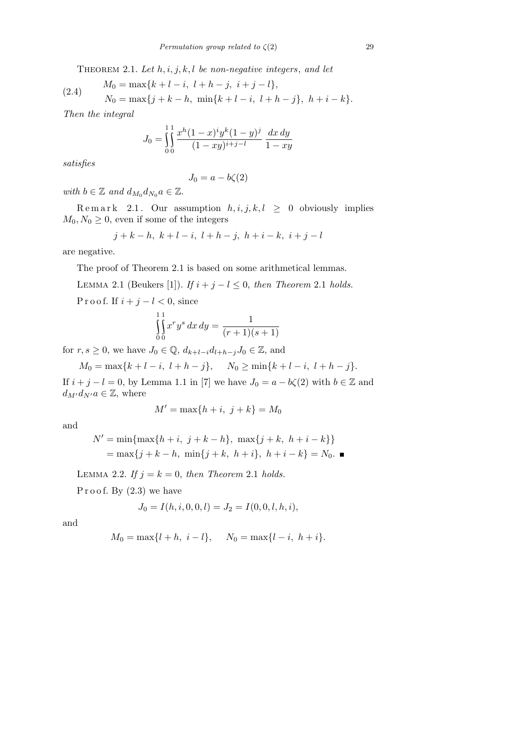Theorem 2.1. *Let h, i, j, k, l be non-negative integers*, *and let*

(2.4) 
$$
M_0 = \max\{k + l - i, l + h - j, i + j - l\},
$$

$$
N_0 = \max\{j + k - h, \min\{k + l - i, l + h - j\}, h + i - k\}.
$$

*Then the integral*

$$
J_0 = \int_0^1 \int_0^1 \frac{x^h (1-x)^i y^k (1-y)^j}{(1-xy)^{i+j-l}} \frac{dx \, dy}{1-xy}
$$

*satisfies*

$$
J_0 = a - b\zeta(2)
$$

*with*  $b \in \mathbb{Z}$  *and*  $d_{M_0} d_{N_0} a \in \mathbb{Z}$ *.* 

Remark 2.1. Our assumption  $h, i, j, k, l \geq 0$  obviously implies  $M_0, N_0 \geq 0$ , even if some of the integers

$$
j+k-h, k+l-i, l+h-j, h+i-k, i+j-l
$$

are negative.

The proof of Theorem 2.1 is based on some arithmetical lemmas.

LEMMA 2.1 (Beukers [1]). *If*  $i + j - l \leq 0$ , *then Theorem* 2.1 *holds.* 

P r o o f. If  $i + j - l < 0$ , since

$$
\iint_{0}^{1} x^{r} y^{s} dx dy = \frac{1}{(r+1)(s+1)}
$$

for  $r, s \geq 0$ , we have  $J_0 \in \mathbb{Q}$ ,  $d_{k+l-i}d_{l+h-j}J_0 \in \mathbb{Z}$ , and

 $M_0 = \max\{k + l - i, l + h - j\}, \quad N_0 \geq \min\{k + l - i, l + h - j\}.$ If  $i + j - l = 0$ , by Lemma 1.1 in [7] we have  $J_0 = a - b\zeta(2)$  with  $b \in \mathbb{Z}$  and  $d_{M'}d_{N'}a \in \mathbb{Z}$ , where

$$
M' = \max\{h+i, j+k\} = M_0
$$

and

$$
N' = \min\{\max\{h+i, j+k-h\}, \max\{j+k, h+i-k\}\}\
$$

$$
= \max\{j+k-h, \min\{j+k, h+i\}, h+i-k\} = N_0.
$$

LEMMA 2.2. If  $j = k = 0$ , then Theorem 2.1 holds.

Proof. By  $(2.3)$  we have

$$
J_0 = I(h, i, 0, 0, l) = J_2 = I(0, 0, l, h, i),
$$

and

$$
M_0 = \max\{l + h, i - l\}, \quad N_0 = \max\{l - i, h + i\}.
$$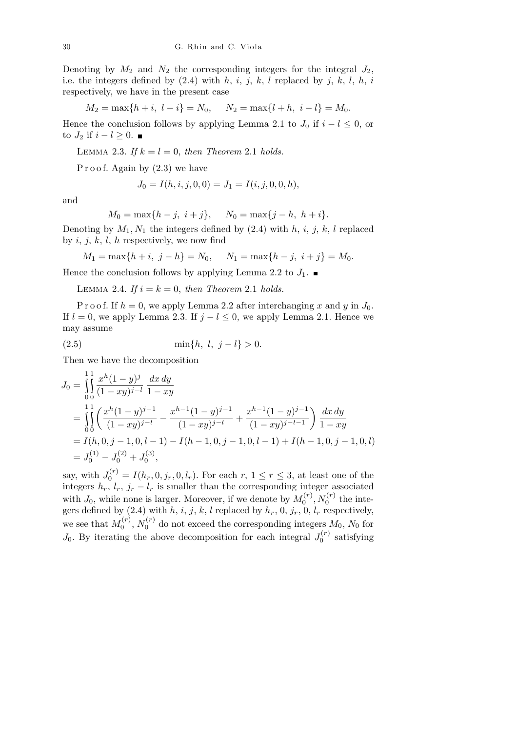Denoting by  $M_2$  and  $N_2$  the corresponding integers for the integral  $J_2$ , i.e. the integers defined by  $(2.4)$  with  $h, i, j, k, l$  replaced by  $j, k, l, h, i$ respectively, we have in the present case

$$
M_2 = \max\{h + i, l - i\} = N_0, \quad N_2 = \max\{l + h, i - l\} = M_0.
$$

Hence the conclusion follows by applying Lemma 2.1 to  $J_0$  if  $i - l \leq 0$ , or to  $J_2$  if  $i - l \geq 0$ . ■

LEMMA 2.3. If  $k = l = 0$ , then Theorem 2.1 holds.

Proof. Again by  $(2.3)$  we have

$$
J_0 = I(h, i, j, 0, 0) = J_1 = I(i, j, 0, 0, h),
$$

and

$$
M_0 = \max\{h-j, i+j\}, \quad N_0 = \max\{j-h, h+i\}.
$$

Denoting by  $M_1, N_1$  the integers defined by  $(2.4)$  with  $h, i, j, k, l$  replaced by *i, j, k, l, h* respectively, we now find

$$
M_1 = \max\{h + i, j - h\} = N_0, \quad N_1 = \max\{h - j, i + j\} = M_0.
$$

Hence the conclusion follows by applying Lemma 2.2 to  $J_1$ .

LEMMA 2.4. *If*  $i = k = 0$ , *then Theorem* 2.1 *holds.* 

P r o o f. If  $h = 0$ , we apply Lemma 2.2 after interchanging x and y in  $J_0$ . If  $l = 0$ , we apply Lemma 2.3. If  $j - l \leq 0$ , we apply Lemma 2.1. Hence we may assume

(2.5) 
$$
\min\{h, l, j - l\} > 0.
$$

Then we have the decomposition

$$
J_0 = \int_0^1 \int_0^1 \frac{x^h (1-y)^j}{(1-xy)^{j-l}} \frac{dx \, dy}{1-xy}
$$
  
= 
$$
\int_0^1 \left( \frac{x^h (1-y)^{j-1}}{(1-xy)^{j-l}} - \frac{x^{h-1} (1-y)^{j-1}}{(1-xy)^{j-l}} + \frac{x^{h-1} (1-y)^{j-1}}{(1-xy)^{j-l-1}} \right) \frac{dx \, dy}{1-xy}
$$
  
=  $I(h, 0, j-1, 0, l-1) - I(h-1, 0, j-1, 0, l-1) + I(h-1, 0, j-1, 0, l)$   
=  $J_0^{(1)} - J_0^{(2)} + J_0^{(3)}$ ,

say, with  $J_0^{(r)} = I(h_r, 0, j_r, 0, l_r)$ . For each  $r, 1 \le r \le 3$ , at least one of the integers  $h_r$ ,  $l_r$ ,  $j_r - l_r$  is smaller than the corresponding integer associated with  $J_0$ , while none is larger. Moreover, if we denote by  $M_0^{(r)}$  $\delta_0^{(r)} , N_0^{(r)}$  the integers defined by  $(2.4)$  with  $h, i, j, k, l$  replaced by  $h_r, 0, j_r, 0, l_r$  respectively, we see that  $M_0^{(r)}$  $N_0^{(r)}$ ,  $N_0^{(r)}$  $\chi_0^{(r)}$  do not exceed the corresponding integers  $M_0$ ,  $N_0$  for  $J_0$ . By iterating the above decomposition for each integral  $J_0^{(r)}$  $\mathfrak{g}_0^{(r)}$  satisfying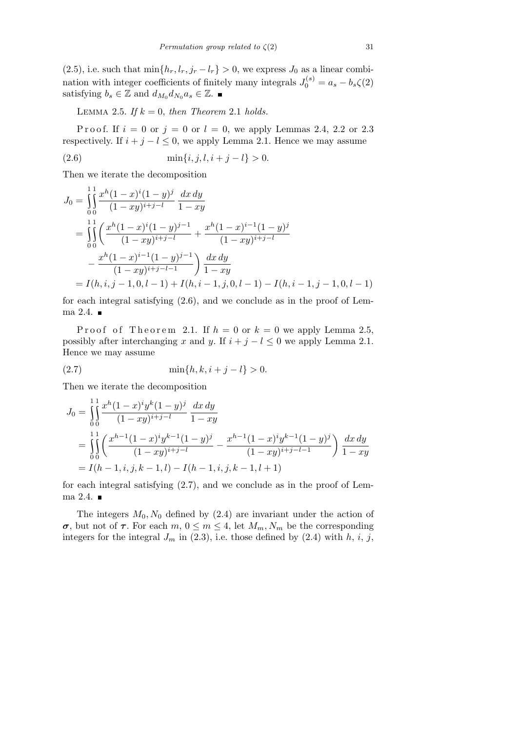$(2.5)$ , i.e. such that  $\min\{h_r, l_r, j_r - l_r\} > 0$ , we express  $J_0$  as a linear combination with integer coefficients of finitely many integrals  $J_0^{(s)} = a_s - b_s \zeta(2)$ satisfying  $b_s \in \mathbb{Z}$  and  $d_{M_0} d_{N_0} a_s \in \mathbb{Z}$ .

LEMMA 2.5. If  $k = 0$ , then Theorem 2.1 holds.

P r o o f. If  $i = 0$  or  $j = 0$  or  $l = 0$ , we apply Lemmas 2.4, 2.2 or 2.3 respectively. If  $i + j - l \leq 0$ , we apply Lemma 2.1. Hence we may assume

(2.6) 
$$
\min\{i, j, l, i+j-l\} > 0.
$$

Then we iterate the decomposition

$$
J_0 = \int_0^1 \int_0^{x^h} \frac{x^h (1-x)^i (1-y)^j}{(1-xy)^{i+j-l}} \frac{dx \, dy}{1-xy}
$$
  
= 
$$
\int_0^1 \int_0^{x^h} \frac{x^h (1-x)^i (1-y)^{j-1}}{(1-xy)^{i+j-l}} + \frac{x^h (1-x)^{i-1} (1-y)^j}{(1-xy)^{i+j-l}}
$$
  

$$
- \frac{x^h (1-x)^{i-1} (1-y)^{j-1}}{(1-xy)^{i+j-l-1}} \int \frac{dx \, dy}{1-xy}
$$
  
=  $I(h, i, j-1, 0, l-1) + I(h, i-1, j, 0, l-1) - I(h, i-1, j-1, 0, l-1)$ 

for each integral satisfying (2.6), and we conclude as in the proof of Lemma 2.4.  $\blacksquare$ 

Proof of Theorem 2.1. If  $h = 0$  or  $k = 0$  we apply Lemma 2.5, possibly after interchanging *x* and *y*. If  $i + j - l \leq 0$  we apply Lemma 2.1. Hence we may assume

(2.7) 
$$
\min\{h, k, i + j - l\} > 0.
$$

Then we iterate the decomposition

$$
J_0 = \iint_{0}^{1} \frac{x^h (1-x)^i y^k (1-y)^j}{(1-xy)^{i+j-l}} \frac{dx \, dy}{1-xy}
$$
  
= 
$$
\iint_{0}^{1} \left( \frac{x^{h-1} (1-x)^i y^{k-1} (1-y)^j}{(1-xy)^{i+j-l}} - \frac{x^{h-1} (1-x)^i y^{k-1} (1-y)^j}{(1-xy)^{i+j-l-1}} \right) \frac{dx \, dy}{1-xy}
$$
  
=  $I(h-1, i, j, k-1, l) - I(h-1, i, j, k-1, l+1)$ 

for each integral satisfying (2.7), and we conclude as in the proof of Lemma 2.4.  $\blacksquare$ 

The integers  $M_0$ ,  $N_0$  defined by  $(2.4)$  are invariant under the action of *σ,* but not of *τ*. For each *m,*  $0 \le m \le 4$ , let  $M_m$ ,  $N_m$  be the corresponding integers for the integral  $J_m$  in (2.3), i.e. those defined by (2.4) with  $h$ ,  $i$ ,  $j$ ,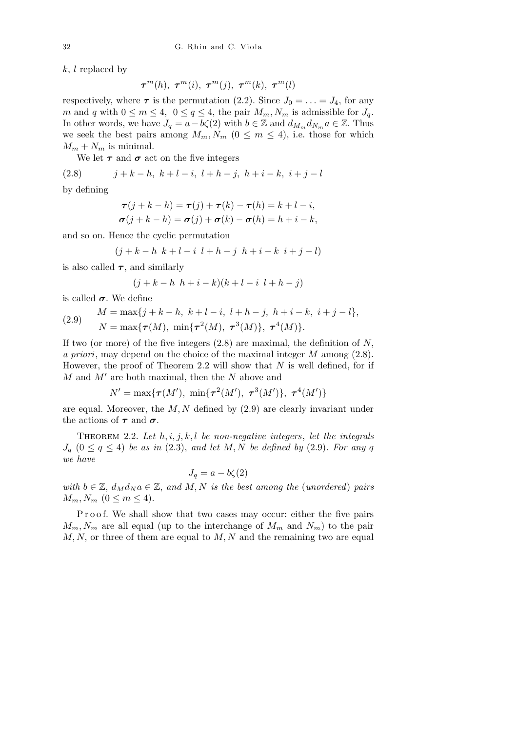*k*, *l* replaced by

 $\tau^{m}(h)$ *,*  $\tau^{m}(i)$ *,*  $\tau^{m}(j)$ *,*  $\tau^{m}(k)$ *,*  $\tau^{m}(l)$ 

respectively, where  $\tau$  is the permutation (2.2). Since  $J_0 = \ldots = J_4$ , for any *m* and *q* with  $0 \le m \le 4$ ,  $0 \le q \le 4$ , the pair  $M_m, N_m$  is admissible for  $J_q$ . In other words, we have  $J_q = a - b\zeta(2)$  with  $b \in \mathbb{Z}$  and  $d_{M_m} d_{N_m} a \in \mathbb{Z}$ . Thus we seek the best pairs among  $M_m, N_m$  ( $0 \leq m \leq 4$ ), i.e. those for which  $M_m + N_m$  is minimal.

We let  $\tau$  and  $\sigma$  act on the five integers

(2.8) 
$$
j + k - h, \ k + l - i, \ l + h - j, \ h + i - k, \ i + j - l
$$

by defining

$$
\tau(j+k-h) = \tau(j) + \tau(k) - \tau(h) = k + l - i,
$$
  

$$
\sigma(j+k-h) = \sigma(j) + \sigma(k) - \sigma(h) = h + i - k,
$$

and so on. Hence the cyclic permutation

$$
(j + k - h \ k + l - i \ l + h - j \ h + i - k \ i + j - l)
$$

is also called  $\tau$ , and similarly

$$
(j + k - h \thinspace h + i - k)(k + l - i \thinspace l + h - j)
$$

is called  $\sigma$ . We define

(2.9) 
$$
M = \max\{j + k - h, k + l - i, l + h - j, h + i - k, i + j - l\},\newline N = \max\{\tau(M), \min\{\tau^2(M), \tau^3(M)\}, \tau^4(M)\}.
$$

If two (or more) of the five integers (2.8) are maximal, the definition of *N, a priori*, may depend on the choice of the maximal integer *M* among (2.8). However, the proof of Theorem 2.2 will show that *N* is well defined, for if  $M$  and  $M'$  are both maximal, then the  $N$  above and

$$
N' = \max{\{\tau(M'), \min{\{\tau^2(M'), \ \tau^3(M')\}, \ \tau^4(M')\}}
$$

are equal. Moreover, the *M, N* defined by (2.9) are clearly invariant under the actions of  $\tau$  and  $\sigma$ .

THEOREM 2.2. Let  $h, i, j, k, l$  be non-negative integers, let the integrals  $J_q$   $(0 \le q \le 4)$  *be as in*  $(2.3)$ *, and let*  $M, N$  *be defined by*  $(2.9)$ *. For any q we have*

 $J<sub>a</sub> = a - b\zeta(2)$ 

*with*  $b \in \mathbb{Z}$ ,  $d_M d_N a \in \mathbb{Z}$ , and M, N is the best among the (*unordered*) pairs  $M_m, N_m$  (0  $\leq m \leq 4$ ).

Proof. We shall show that two cases may occur: either the five pairs  $M_m$ ,  $N_m$  are all equal (up to the interchange of  $M_m$  and  $N_m$ ) to the pair *M, N,* or three of them are equal to *M, N* and the remaining two are equal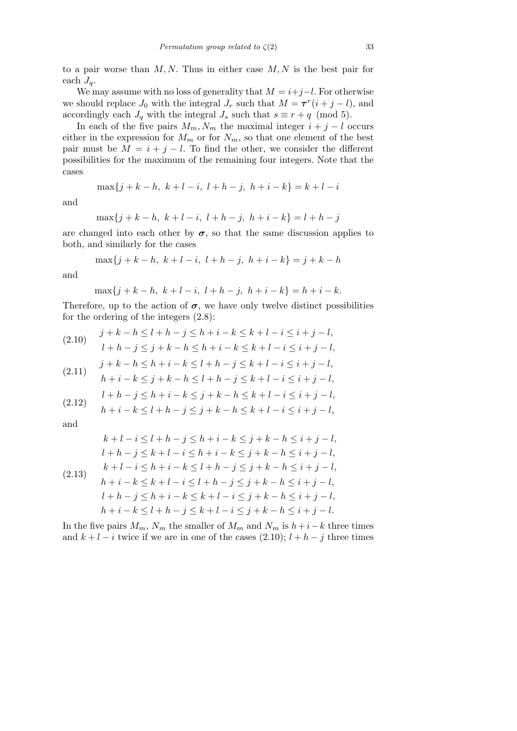to a pair worse than *M, N.* Thus in either case *M, N* is the best pair for each  $J_q$ .

We may assume with no loss of generality that  $M = i + j - l$ . For otherwise we should replace  $J_0$  with the integral  $J_r$  such that  $M = \tau^r(i + j - l)$ , and accordingly each  $J_q$  with the integral  $J_s$  such that  $s \equiv r + q \pmod{5}$ .

In each of the five pairs  $M_m$ ,  $N_m$  the maximal integer  $i + j - l$  occurs either in the expression for  $M_m$  or for  $N_m$ , so that one element of the best pair must be  $M = i + j - l$ . To find the other, we consider the different possibilities for the maximum of the remaining four integers. Note that the cases

$$
\max\{j+k-h, k+l-i, l+h-j, h+i-k\} = k+l-i
$$

and

$$
\max\{j+k-h, k+l-i, l+h-j, h+i-k\} = l+h-j
$$

are changed into each other by  $\sigma$ , so that the same discussion applies to both, and similarly for the cases

$$
\max\{j+k-h, k+l-i, l+h-j, h+i-k\} = j+k-h
$$

and

$$
\max\{j+k-h, \ k+l-i, \ l+h-j, \ h+i-k\} = h+i-k.
$$

Therefore, up to the action of  $\sigma$ , we have only twelve distinct possibilities for the ordering of the integers (2.8):

$$
(2.10) \quad j + k - h \le l + h - j \le h + i - k \le k + l - i \le i + j - l,
$$
  
\n
$$
l + h - j \le j + k - h \le h + i - k \le k + l - i \le i + j - l,
$$
  
\n
$$
j + k - h \le h + i - k \le l + h - j \le k + l - i \le i + j - l,
$$
  
\n
$$
h + i - k \le j + k - h \le l + h - j \le k + l - i \le i + j - l,
$$
  
\n
$$
l + h - j \le h + i - k \le j + k - h \le k + l - i \le i + j - l,
$$
  
\n
$$
(2.12) \quad h + i - k \le l + h - j \le j + k - h \le k + l - i \le i + j - l,
$$

and

$$
k + l - i \leq l + h - j \leq h + i - k \leq j + k - h \leq i + j - l,
$$
  
\n
$$
l + h - j \leq k + l - i \leq h + i - k \leq j + k - h \leq i + j - l,
$$
  
\n
$$
k + l - i \leq h + i - k \leq l + h - j \leq j + k - h \leq i + j - l,
$$
  
\n
$$
h + i - k \leq k + l - i \leq l + h - j \leq j + k - h \leq i + j - l,
$$
  
\n
$$
l + h - j \leq h + i - k \leq k + l - i \leq j + k - h \leq i + j - l,
$$
  
\n
$$
h + i - k \leq l + h - j \leq k + l - i \leq j + k - h \leq i + j - l.
$$

In the five pairs  $M_m$ ,  $N_m$  the smaller of  $M_m$  and  $N_m$  is  $h+i-k$  three times and  $k + l - i$  twice if we are in one of the cases  $(2.10); l + h - j$  three times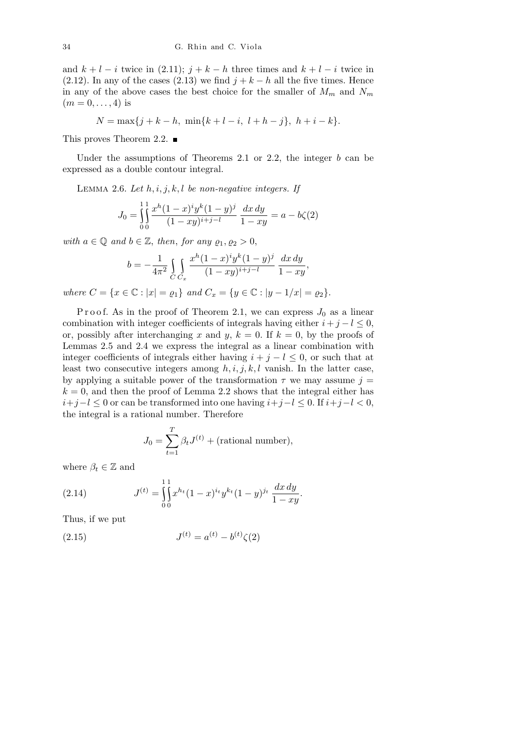and  $k + l - i$  twice in (2.11);  $j + k - h$  three times and  $k + l - i$  twice in (2.12). In any of the cases (2.13) we find  $j + k - h$  all the five times. Hence in any of the above cases the best choice for the smaller of  $M_m$  and  $N_m$  $(m = 0, \ldots, 4)$  is

$$
N = \max\{j + k - h, \ \min\{k + l - i, \ l + h - j\}, \ h + i - k\}.
$$

This proves Theorem 2.2.  $\blacksquare$ 

Under the assumptions of Theorems 2.1 or 2.2, the integer *b* can be expressed as a double contour integral.

Lemma 2.6. *Let h, i, j, k, l be non-negative integers. If*

$$
J_0 = \iint_{0}^{1} \frac{x^h (1-x)^i y^k (1-y)^j}{(1-xy)^{i+j-l}} \frac{dx \, dy}{1-xy} = a - b\zeta(2)
$$

*with*  $a \in \mathbb{Q}$  *and*  $b \in \mathbb{Z}$ *, then, for any*  $\varrho_1, \varrho_2 > 0$ *,* 

$$
b = -\frac{1}{4\pi^2} \int_C \int_{C_x} \frac{x^h (1-x)^i y^k (1-y)^j}{(1-xy)^{i+j-l}} \frac{dx \, dy}{1-xy},
$$

where  $C = \{x \in \mathbb{C} : |x| = \rho_1\}$  and  $C_x = \{y \in \mathbb{C} : |y - 1/x| = \rho_2\}.$ 

Proof. As in the proof of Theorem 2.1, we can express  $J_0$  as a linear combination with integer coefficients of integrals having either  $i + j - l \leq 0$ , or, possibly after interchanging x and y,  $k = 0$ . If  $k = 0$ , by the proofs of Lemmas 2.5 and 2.4 we express the integral as a linear combination with integer coefficients of integrals either having  $i + j - l \leq 0$ , or such that at least two consecutive integers among  $h, i, j, k, l$  vanish. In the latter case, by applying a suitable power of the transformation  $\tau$  we may assume  $j =$  $k = 0$ , and then the proof of Lemma 2.2 shows that the integral either has *i*+*j−l ≤* 0 or can be transformed into one having *i*+*j−l ≤* 0. If *i*+*j−l <* 0, the integral is a rational number. Therefore

$$
J_0 = \sum_{t=1}^{T} \beta_t J^{(t)} + \text{(rational number)},
$$

where  $\beta_t \in \mathbb{Z}$  and

(2.14) 
$$
J^{(t)} = \int_{0}^{11} x^{h_t} (1-x)^{i_t} y^{k_t} (1-y)^{j_t} \frac{dx dy}{1-xy}.
$$

Thus, if we put

(2.15) 
$$
J^{(t)} = a^{(t)} - b^{(t)}\zeta(2)
$$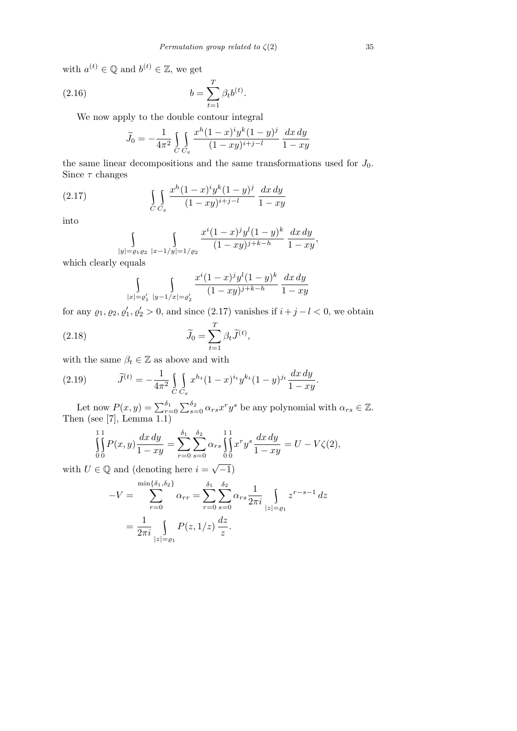*.*

with  $a^{(t)} \in \mathbb{Q}$  and  $b^{(t)} \in \mathbb{Z}$ , we get

(2.16) 
$$
b = \sum_{t=1}^{T} \beta_t b^{(t)}
$$

We now apply to the double contour integral

$$
\widetilde{J}_0 = -\frac{1}{4\pi^2} \int_C \int_{C_x} \frac{x^h (1-x)^i y^k (1-y)^j}{(1-xy)^{i+j-l}} \frac{dx \, dy}{1-xy}
$$

the same linear decompositions and the same transformations used for  $J_0$ . Since *τ* changes

(2.17) 
$$
\int_{C} \int_{C_x} \frac{x^h (1-x)^i y^k (1-y)^j}{(1-xy)^{i+j-l}} \frac{dx dy}{1-xy}
$$

into

$$
\int_{|y|=\varrho_1\varrho_2} \int_{|x-1/y|=1/\varrho_2} \frac{x^i (1-x)^j y^l (1-y)^k}{(1-xy)^{j+k-h}} \frac{dx \, dy}{1-xy},
$$

which clearly equals

$$
\int_{|x| = \varrho_1'} \int_{|y-1/x| = \varrho_2'} \frac{x^i (1-x)^j y^l (1-y)^k}{(1-xy)^{j+k-h}} \frac{dx \, dy}{1-xy}
$$

for any  $\varrho_1, \varrho_2, \varrho'_1, \varrho'_2 > 0$ , and since (2.17) vanishes if  $i + j - l < 0$ , we obtain

(2.18) 
$$
\widetilde{J}_0 = \sum_{t=1}^T \beta_t \widetilde{J}^{(t)},
$$

with the same  $\beta_t \in \mathbb{Z}$  as above and with

(2.19) 
$$
\widetilde{J}^{(t)} = -\frac{1}{4\pi^2} \int_{C} \int_{C_x} x^{h_t} (1-x)^{i_t} y^{k_t} (1-y)^{j_t} \frac{dx \, dy}{1-xy}.
$$

Let now  $P(x, y) = \sum_{r=0}^{\delta_1}$  $\sum_{2}$  $\int_{s=0}^{\delta_2} \alpha_{rs} x^r y^s$  be any polynomial with  $\alpha_{rs} \in \mathbb{Z}$ . Then (see [7], Lemma 1.1)

$$
\iint_{0}^{11} P(x, y) \frac{dx \, dy}{1 - xy} = \sum_{r=0}^{\delta_1} \sum_{s=0}^{\delta_2} \alpha_{rs} \iint_{0}^{11} x^r y^s \frac{dx \, dy}{1 - xy} = U - V\zeta(2),
$$

with  $U \in \mathbb{Q}$  and (denoting here  $i =$ *−*1)

$$
-V = \sum_{r=0}^{\min{\{\delta_1,\delta_2\}}} \alpha_{rr} = \sum_{r=0}^{\delta_1} \sum_{s=0}^{\delta_2} \alpha_{rs} \frac{1}{2\pi i} \int_{|z| = \varrho_1} z^{r-s-1} dz
$$

$$
= \frac{1}{2\pi i} \int_{|z| = \varrho_1} P(z, 1/z) \frac{dz}{z}.
$$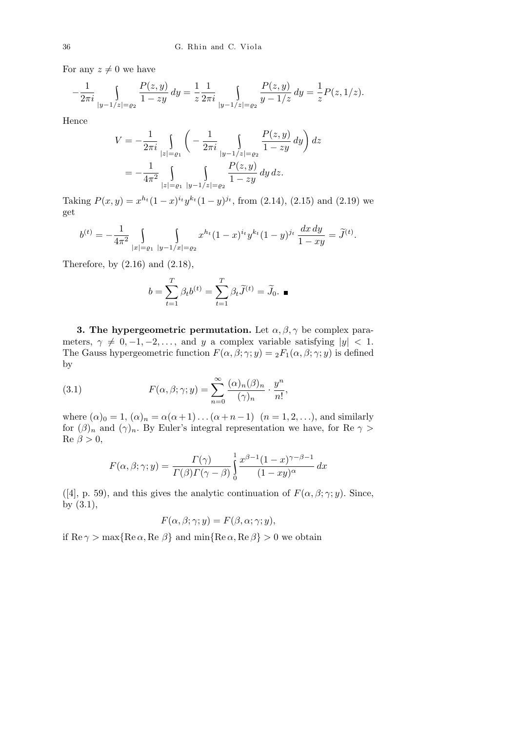For any  $z \neq 0$  we have

$$
-\frac{1}{2\pi i} \int_{|y-1/z|=\varrho_2} \frac{P(z,y)}{1-zy} \, dy = \frac{1}{z} \frac{1}{2\pi i} \int_{|y-1/z|=\varrho_2} \frac{P(z,y)}{y-1/z} \, dy = \frac{1}{z} P(z,1/z).
$$

Hence

$$
V = -\frac{1}{2\pi i} \int_{|z| = \varrho_1} \left( -\frac{1}{2\pi i} \int_{|y - 1/z| = \varrho_2} \frac{P(z, y)}{1 - zy} dy \right) dz
$$
  
= 
$$
-\frac{1}{4\pi^2} \int_{|z| = \varrho_1} \int_{|y - 1/z| = \varrho_2} \frac{P(z, y)}{1 - zy} dy dz.
$$

Taking  $P(x, y) = x^{h_t}(1-x)^{i_t}y^{k_t}(1-y)^{j_t}$ , from (2.14), (2.15) and (2.19) we get

$$
b^{(t)} = -\frac{1}{4\pi^2} \int_{|x| = \varrho_1} \int_{|y-1/x| = \varrho_2} x^{h_t} (1-x)^{i_t} y^{k_t} (1-y)^{j_t} \frac{dx \, dy}{1-xy} = \widetilde{J}^{(t)}.
$$

Therefore, by  $(2.16)$  and  $(2.18)$ ,

$$
b = \sum_{t=1}^{T} \beta_t b^{(t)} = \sum_{t=1}^{T} \beta_t \widetilde{J}^{(t)} = \widetilde{J}_0. \blacksquare
$$

**3. The hypergeometric permutation.** Let  $\alpha, \beta, \gamma$  be complex parameters,  $\gamma \neq 0, -1, -2, \ldots$ , and *y* a complex variable satisfying  $|y| < 1$ . The Gauss hypergeometric function  $F(\alpha, \beta; \gamma; y) = {}_2F_1(\alpha, \beta; \gamma; y)$  is defined by

(3.1) 
$$
F(\alpha, \beta; \gamma; y) = \sum_{n=0}^{\infty} \frac{(\alpha)_n (\beta)_n}{(\gamma)_n} \cdot \frac{y^n}{n!},
$$

where  $(\alpha)_0 = 1$ ,  $(\alpha)_n = \alpha(\alpha+1) \dots (\alpha+n-1)$   $(n = 1, 2, \dots)$ *,* and similarly for  $(\beta)_n$  and  $(\gamma)_n$ . By Euler's integral representation we have, for Re  $\gamma$  >  $\text{Re } \beta > 0,$ 

$$
F(\alpha, \beta; \gamma; y) = \frac{\Gamma(\gamma)}{\Gamma(\beta)\Gamma(\gamma - \beta)} \int_{0}^{1} \frac{x^{\beta - 1}(1 - x)^{\gamma - \beta - 1}}{(1 - xy)^{\alpha}} dx
$$

([4], p. 59), and this gives the analytic continuation of  $F(\alpha, \beta; \gamma; y)$ . Since, by (3.1),

$$
F(\alpha, \beta; \gamma; y) = F(\beta, \alpha; \gamma; y),
$$

if  $\text{Re } \gamma > \max\{\text{Re }\alpha, \text{Re }\beta\}$  and  $\min\{\text{Re }\alpha, \text{Re }\beta\} > 0$  we obtain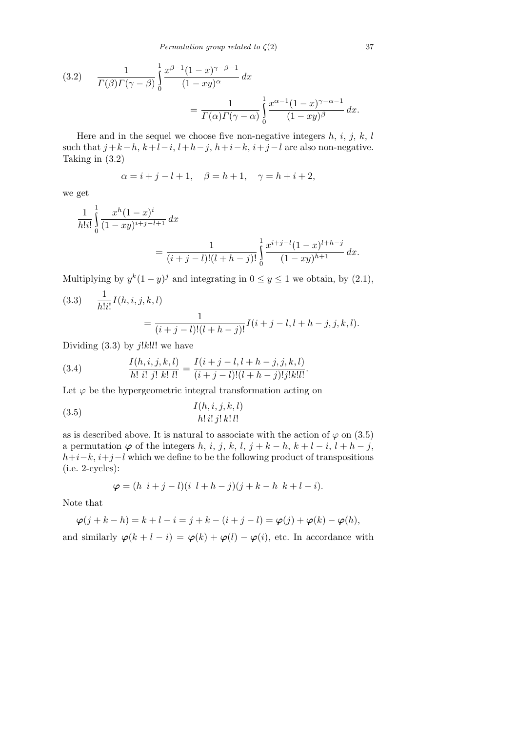(3.2) 
$$
\frac{1}{\Gamma(\beta)\Gamma(\gamma-\beta)}\int_{0}^{1} \frac{x^{\beta-1}(1-x)^{\gamma-\beta-1}}{(1-xy)^{\alpha}} dx
$$

$$
=\frac{1}{\Gamma(\alpha)\Gamma(\gamma-\alpha)}\int_{0}^{1} \frac{x^{\alpha-1}(1-x)^{\gamma-\alpha-1}}{(1-xy)^{\beta}} dx.
$$

Here and in the sequel we choose five non-negative integers *h, i, j, k, l* such that  $j+k-h, k+l-i, l+h-j, h+i-k, i+j-l$  are also non-negative. Taking in (3.2)

$$
\alpha = i + j - l + 1, \quad \beta = h + 1, \quad \gamma = h + i + 2,
$$

we get

$$
\frac{1}{h!i!} \int_{0}^{1} \frac{x^{h}(1-x)^{i}}{(1-xy)^{i+j-l+1}} dx
$$
  
= 
$$
\frac{1}{(i+j-l)!(l+h-j)!} \int_{0}^{1} \frac{x^{i+j-l}(1-x)^{l+h-j}}{(1-xy)^{h+1}} dx.
$$

Multiplying by  $y^k(1-y)^j$  and integrating in  $0 \le y \le 1$  we obtain, by  $(2.1)$ ,

(3.3) 
$$
\frac{1}{h!i!}I(h,i,j,k,l) = \frac{1}{(i+j-l)!(l+h-j)!}I(i+j-l,l+h-j,j,k,l).
$$

Dividing (3.3) by *j*!*k*!*l*! we have

(3.4) 
$$
\frac{I(h,i,j,k,l)}{h! \; i! \; j! \; k! \; l!} = \frac{I(i+j-l,l+h-j,j,k,l)}{(i+j-l)!(l+h-j)!j!k!l!}.
$$

Let  $\varphi$  be the hypergeometric integral transformation acting on

$$
\frac{I(h,i,j,k,l)}{h!\,i!\,j!\,k!\,l!}
$$

as is described above. It is natural to associate with the action of  $\varphi$  on (3.5) a permutation  $\varphi$  of the integers *h*, *i*, *j*, *k*, *l*, *j* + *k* − *h*, *k* + *l* − *i*, *l* + *h* − *j*, *h*+*i*−*k*, *i*+*j*−*l* which we define to be the following product of transpositions (i.e. 2-cycles):

$$
\varphi = (h \, i + j - l)(i \, l + h - j)(j + k - h \, k + l - i).
$$

Note that

$$
\varphi(j+k-h) = k+l-i = j+k-(i+j-l) = \varphi(j) + \varphi(k) - \varphi(h),
$$
  
and similarly 
$$
\varphi(k+l-i) = \varphi(k) + \varphi(l) - \varphi(i)
$$
, etc. In accordance with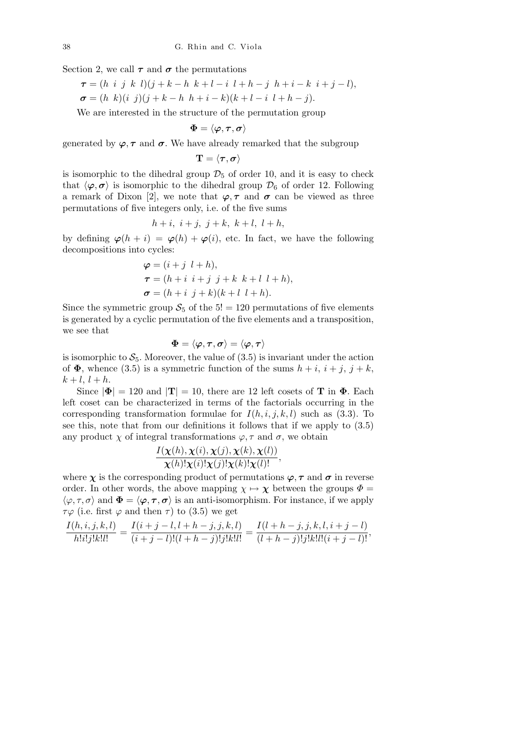Section 2, we call  $\tau$  and  $\sigma$  the permutations

$$
\tau = (h \ i \ j \ k \ l)(j + k - h \ k + l - i \ l + h - j \ h + i - k \ i + j - l),
$$
  

$$
\sigma = (h \ k)(i \ j)(j + k - h \ h + i - k)(k + l - i \ l + h - j).
$$

We are interested in the structure of the permutation group

$$
\boldsymbol{\Phi} = \langle \boldsymbol{\varphi}, \boldsymbol{\tau}, \boldsymbol{\sigma} \rangle
$$

generated by  $\varphi$ ,  $\tau$  and  $\sigma$ . We have already remarked that the subgroup

$$
\mathbf{T}=\langle\boldsymbol{\tau},\boldsymbol{\sigma}\rangle
$$

is isomorphic to the dihedral group  $\mathcal{D}_5$  of order 10, and it is easy to check that  $\langle \varphi, \sigma \rangle$  is isomorphic to the dihedral group  $\mathcal{D}_6$  of order 12. Following a remark of Dixon [2], we note that  $\varphi, \tau$  and  $\sigma$  can be viewed as three permutations of five integers only, i.e. of the five sums

 $h + i, i + j, j + k, k + l, l + h,$ 

by defining  $\varphi(h + i) = \varphi(h) + \varphi(i)$ , etc. In fact, we have the following decompositions into cycles:

$$
\varphi = (i + j \, l + h),
$$
  
\n
$$
\tau = (h + i \, i + j \, j + k \, k + l \, l + h),
$$
  
\n
$$
\sigma = (h + i \, j + k)(k + l \, l + h).
$$

Since the symmetric group  $S_5$  of the  $5! = 120$  permutations of five elements is generated by a cyclic permutation of the five elements and a transposition, we see that

$$
\boldsymbol{\Phi} = \langle \boldsymbol{\varphi}, \boldsymbol{\tau}, \boldsymbol{\sigma} \rangle = \langle \boldsymbol{\varphi}, \boldsymbol{\tau} \rangle
$$

is isomorphic to  $S_5$ . Moreover, the value of  $(3.5)$  is invariant under the action of  $\Phi$ , whence (3.5) is a symmetric function of the sums  $h + i$ ,  $i + j$ ,  $j + k$ ,  $k + l, l + h.$ 

Since  $|\mathbf{\Phi}| = 120$  and  $|\mathbf{T}| = 10$ , there are 12 left cosets of **T** in  $\mathbf{\Phi}$ . Each left coset can be characterized in terms of the factorials occurring in the corresponding transformation formulae for  $I(h, i, j, k, l)$  such as  $(3.3)$ . To see this, note that from our definitions it follows that if we apply to (3.5) any product  $\chi$  of integral transformations  $\varphi$ ,  $\tau$  and  $\sigma$ , we obtain

$$
\frac{I(\boldsymbol{\chi}(h),\boldsymbol{\chi}(i),\boldsymbol{\chi}(j),\boldsymbol{\chi}(k),\boldsymbol{\chi}(l))}{\boldsymbol{\chi}(h)!\boldsymbol{\chi}(i)!\boldsymbol{\chi}(j)!\boldsymbol{\chi}(k)!\boldsymbol{\chi}(l)!},
$$

where  $\chi$  is the corresponding product of permutations  $\varphi$ ,  $\tau$  and  $\sigma$  in reverse order. In other words, the above mapping  $\chi \mapsto \chi$  between the groups  $\Phi =$  $\langle \varphi, \tau, \sigma \rangle$  and  $\Phi = \langle \varphi, \tau, \sigma \rangle$  is an anti-isomorphism. For instance, if we apply *τϕ* (i.e. first *ϕ* and then *τ* ) to (3.5) we get

$$
\frac{I(h,i,j,k,l)}{h!i!j!k!l!} = \frac{I(i+j-l,l+h-j,j,k,l)}{(i+j-l)!(l+h-j)!j!k!l!} = \frac{I(l+h-j,j,k,l,i+j-l)}{(l+h-j)!j!k!l!(i+j-l)!},
$$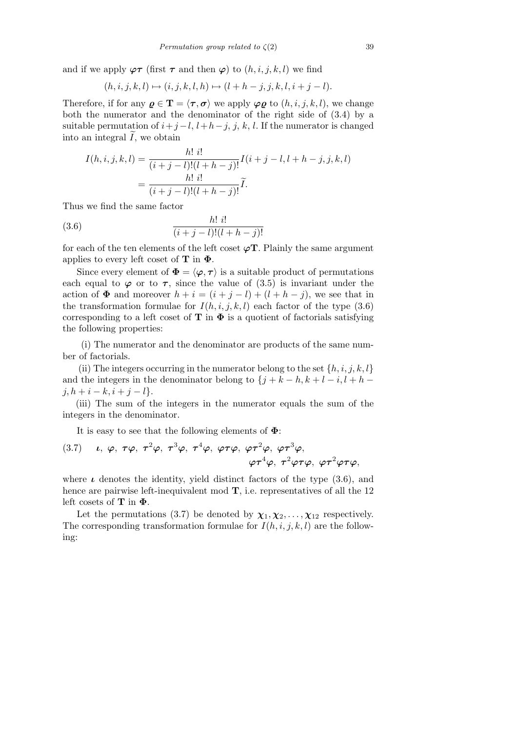and if we apply  $\varphi \tau$  (first  $\tau$  and then  $\varphi$ ) to  $(h, i, j, k, l)$  we find

$$
(h, i, j, k, l) \mapsto (i, j, k, l, h) \mapsto (l + h - j, j, k, l, i + j - l).
$$

Therefore, if for any  $g \in \mathbf{T} = \langle \tau, \sigma \rangle$  we apply  $\varphi g$  to  $(h, i, j, k, l)$ , we change both the numerator and the denominator of the right side of (3.4) by a suitable permutation of  $i+j-l$ ,  $l+h-j$ ,  $j, k, l$ . If the numerator is changed into an integral  $\tilde{I}$ , we obtain

$$
I(h, i, j, k, l) = \frac{h! \, i!}{(i+j-l)!(l+h-j)!} I(i+j-l, l+h-j, j, k, l)
$$
  
= 
$$
\frac{h! \, i!}{(i+j-l)!(l+h-j)!} \widetilde{I}.
$$

Thus we find the same factor

(3.6) 
$$
\frac{h! i!}{(i+j-l)!(l+h-j)!}
$$

for each of the ten elements of the left coset *ϕ***T**. Plainly the same argument applies to every left coset of **T** in **Φ**.

Since every element of  $\Phi = \langle \varphi, \tau \rangle$  is a suitable product of permutations each equal to  $\varphi$  or to  $\tau$ , since the value of (3.5) is invariant under the action of  $\Phi$  and moreover  $h + i = (i + j - l) + (l + h - j)$ , we see that in the transformation formulae for  $I(h, i, j, k, l)$  each factor of the type  $(3.6)$ corresponding to a left coset of **T** in  $\Phi$  is a quotient of factorials satisfying the following properties:

(i) The numerator and the denominator are products of the same number of factorials.

(ii) The integers occurring in the numerator belong to the set  $\{h, i, j, k, l\}$ and the integers in the denominator belong to  $\{j + k - h, k + l - i, l + h - j\}$  $j, h + i - k, i + j - l$ 

(iii) The sum of the integers in the numerator equals the sum of the integers in the denominator.

It is easy to see that the following elements of **Φ**:

(3.7) *u*, 
$$
\varphi
$$
,  $\tau\varphi$ ,  $\tau^2\varphi$ ,  $\tau^3\varphi$ ,  $\tau^4\varphi$ ,  $\varphi\tau\varphi$ ,  $\varphi\tau^2\varphi$ ,  $\varphi\tau^3\varphi$ ,  
 $\varphi\tau^4\varphi$ ,  $\tau^2\varphi\tau\varphi$ ,  $\varphi\tau^2\varphi\tau\varphi$ ,

where  $\iota$  denotes the identity, yield distinct factors of the type  $(3.6)$ , and hence are pairwise left-inequivalent mod **T**, i.e. representatives of all the 12 left cosets of **T** in **Φ**.

Let the permutations (3.7) be denoted by  $\chi_1, \chi_2, \ldots, \chi_{12}$  respectively. The corresponding transformation formulae for  $I(h, i, j, k, l)$  are the following: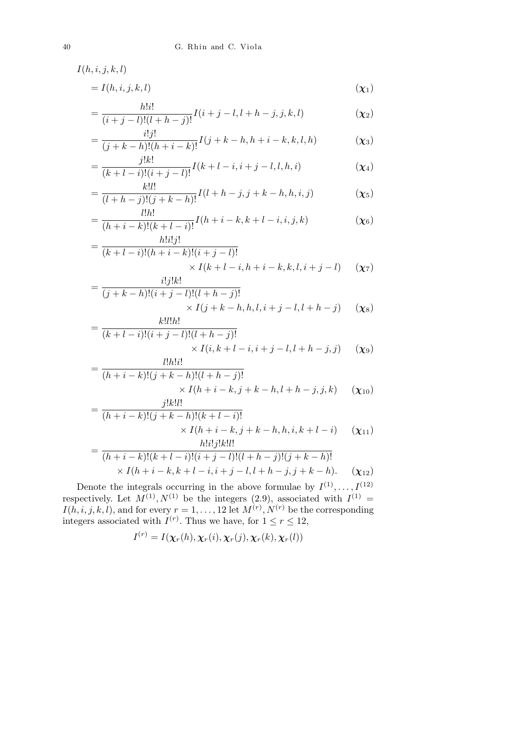$$
= I(h, i, j, k, l) \tag{X1}
$$

$$
= \frac{h!i!}{(i+j-l)!(l+h-j)!}I(i+j-l,l+h-j,j,k,l)
$$
\n(X2)

$$
= \frac{i!j!}{(j+k-h)!(h+i-k)!}I(j+k-h,h+i-k,k,l,h) \tag{X3}
$$

$$
= \frac{j!k!}{(k+l-i)!(i+j-l)!}I(k+l-i,i+j-l,l,h,i)
$$
\n
$$
(x_4)
$$

$$
= \frac{k!l!}{(l+h-j)!(j+k-h)!}I(l+h-j,j+k-h,h,i,j) \tag{X5}
$$

$$
= \frac{l!h!}{(h+i-k)!(k+l-i)!}I(h+i-k,k+l-i,i,j,k) \tag{X6}
$$

$$
= \frac{h!i!j!}{(k+l-i)!(h+i-k)!(i+j-l)!} \times I(k+l-i,h+i-k,k,l,i+j-l) \quad (\chi_7)
$$

$$
= \frac{i:j.k!}{(j+k-h)!(i+j-l)!(l+h-j)!} \times I(j+k-h,h,l,i+j-l,l+h-j) \quad (\chi_8)
$$

$$
= \frac{h!i!h!}{(k+l-i)!(i+j-l)!(l+h-j)!} \times I(i,k+l-i,i+j-l,l+h-j,j) \quad (\chi_9)
$$
  
l!h!i!

$$
= \frac{i!h!i!}{(h+i-k)!(j+k-h)!(l+h-j)!} \times I(h+i-k,j+k-h,l+h-j,j,k) \quad (\chi_{10})
$$
  
*j*!k!l!

$$
= \frac{j!k!i!}{(h+i-k)!(j+k-h)!(k+l-i)!} \times I(h+i-k,j+k-h,h,i,k+l-i) \quad (\chi_{11})
$$

$$
= \frac{h!i!j!k!l!}{(h+i-k,j+k-h,h,i,k+l-i)!} \quad (\chi_{11})
$$

$$
= \frac{(h+i-k)!(k+l-i)!(i+j-l)!(l+h-j)!(j+k-h)!}{\times I(h+i-k,k+l-i,i+j-l,l+h-j,j+k-h)}.
$$
\n
$$
(x_{12})
$$

Denote the integrals occurring in the above formulae by  $I^{(1)}, \ldots, I^{(12)}$ respectively. Let  $M^{(1)}, N^{(1)}$  be the integers (2.9), associated with  $I^{(1)}$  =  $I(h, i, j, k, l)$ , and for every  $r = 1, \ldots, 12$  let  $M^{(r)}, N^{(r)}$  be the corresponding integers associated with  $I^{(r)}$ . Thus we have, for  $1 \le r \le 12$ ,

$$
I^{(r)} = I(\boldsymbol{\chi}_r(h), \boldsymbol{\chi}_r(i), \boldsymbol{\chi}_r(j), \boldsymbol{\chi}_r(k), \boldsymbol{\chi}_r(l))
$$

*I*(*h, i, j, k, l*)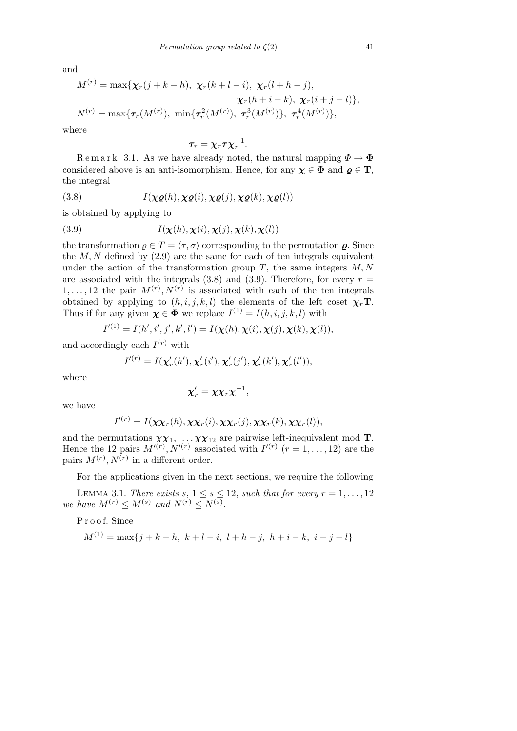and

$$
M^{(r)} = \max\{\chi_r(j+k-h), \ \chi_r(k+l-i), \ \chi_r(l+h-j),\\ \chi_r(h+i-k), \ \chi_r(i+j-l)\},
$$
  

$$
N^{(r)} = \max\{\tau_r(M^{(r)}), \ \min\{\tau_r^2(M^{(r)}), \ \tau_r^3(M^{(r)})\}, \ \tau_r^4(M^{(r)})\},
$$

where

$$
\boldsymbol{\tau_r} = \boldsymbol{\chi_r} \boldsymbol{\tau} \boldsymbol{\chi_r}^{-1}.
$$

Remark 3.1. As we have already noted, the natural mapping  $\Phi \to \Phi$ considered above is an anti-isomorphism. Hence, for any  $\chi \in \Phi$  and  $\varrho \in \mathbf{T}$ , the integral

(3.8) 
$$
I(\chi \varrho(h), \chi \varrho(i), \chi \varrho(j), \chi \varrho(k), \chi \varrho(l))
$$

is obtained by applying to

(3.9) 
$$
I(\mathbf{\chi}(h), \mathbf{\chi}(i), \mathbf{\chi}(j), \mathbf{\chi}(k), \mathbf{\chi}(l))
$$

the transformation  $\rho \in T = \langle \tau, \sigma \rangle$  corresponding to the permutation  $\rho$ . Since the  $M, N$  defined by  $(2.9)$  are the same for each of ten integrals equivalent under the action of the transformation group *T*, the same integers *M, N* are associated with the integrals  $(3.8)$  and  $(3.9)$ . Therefore, for every  $r =$  $1, \ldots, 12$  the pair  $M^{(r)}, N^{(r)}$  is associated with each of the ten integrals obtained by applying to  $(h, i, j, k, l)$  the elements of the left coset  $\chi_r$ **T**. Thus if for any given  $\chi \in \Phi$  we replace  $I^{(1)} = I(h, i, j, k, l)$  with

$$
I'^{(1)} = I(h', i', j', k', l') = I(\boldsymbol{\chi}(h), \boldsymbol{\chi}(i), \boldsymbol{\chi}(j), \boldsymbol{\chi}(k), \boldsymbol{\chi}(l)),
$$

and accordingly each  $I^{(r)}$  with

$$
I'^{(r)} = I(\mathbf{x}'_r(h'), \mathbf{x}'_r(i'), \mathbf{x}'_r(j'), \mathbf{x}'_r(k'), \mathbf{x}'_r(l')),
$$

where

$$
\chi'_r=\chi\chi_r\chi^{-1},
$$

we have

$$
I^{(r)} = I(\chi \chi_r(h), \chi \chi_r(i), \chi \chi_r(j), \chi \chi_r(k), \chi \chi_r(l)),
$$

and the permutations  $\chi \chi_1, \ldots, \chi \chi_{12}$  are pairwise left-inequivalent mod **T**. Hence the 12 pairs  $M^{(r)}$ ,  $N^{(r)}$  associated with  $I^{(r)}$   $(r = 1, \ldots, 12)$  are the pairs  $M^{(r)}$ ,  $N^{(r)}$  in a different order.

For the applications given in the next sections, we require the following

LEMMA 3.1. *There exists*  $s, 1 \leq s \leq 12$ , such that for every  $r = 1, \ldots, 12$ *we have*  $M^{(r)} \leq M^{(s)}$  *and*  $N^{(r)} \leq N^{(s)}$ *.* 

Proof. Since  
\n
$$
M^{(1)} = \max\{j + k - h, k + l - i, l + h - j, h + i - k, i + j - l\}
$$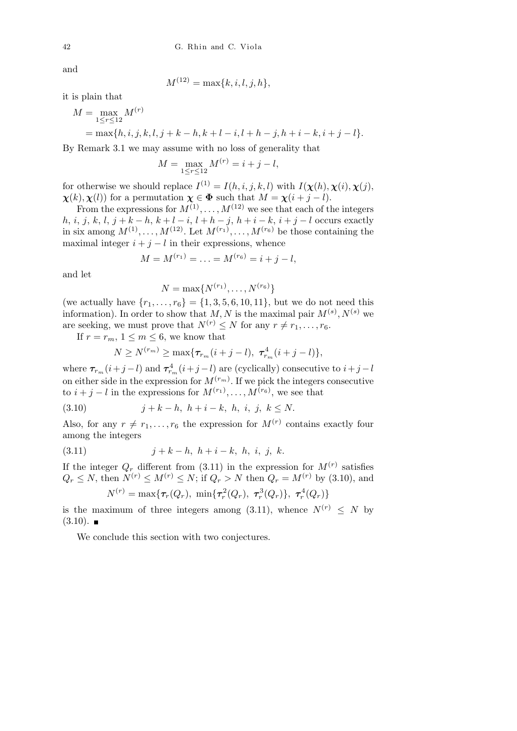and

$$
M^{(12)} = \max\{k, i, l, j, h\},\
$$

it is plain that

$$
M = \max_{1 \leq r \leq 12} M^{(r)} \\
= \max\{h, i, j, k, l, j + k - h, k + l - i, l + h - j, h + i - k, i + j - l\}.
$$

By Remark 3.1 we may assume with no loss of generality that

$$
M = \max_{1 \le r \le 12} M^{(r)} = i + j - l,
$$

for otherwise we should replace  $I^{(1)} = I(h, i, j, k, l)$  with  $I(\chi(h), \chi(i), \chi(j))$ , *x*(*k*)*, <i>x***</mark>(***l***)) for a permutation**  $\chi \in \Phi$  **such that**  $M = \chi(i + j - l)$ **.** 

From the expressions for  $M^{(1)}, \ldots, M^{(12)}$  we see that each of the integers h, i, j, k, l, j + k - h, k + l - i, l + h - j, h + i - k, i + j - l occurs exactly in six among  $M^{(1)}, \ldots, M^{(12)}$ . Let  $M^{(r_1)}, \ldots, M^{(r_6)}$  be those containing the maximal integer  $i + j - l$  in their expressions, whence

$$
M = M^{(r_1)} = \ldots = M^{(r_6)} = i + j - l,
$$

and let

$$
N = \max\{N^{(r_1)}, \ldots, N^{(r_6)}\}
$$

(we actually have  $\{r_1, \ldots, r_6\} = \{1, 3, 5, 6, 10, 11\}$ , but we do not need this information). In order to show that  $M, N$  is the maximal pair  $M^{(s)}, N^{(s)}$  we are seeking, we must prove that  $N^{(r)} \leq N$  for any  $r \neq r_1, \ldots, r_6$ .

If  $r = r_m$ ,  $1 \leq m \leq 6$ , we know that

$$
N \ge N^{(r_m)} \ge \max\{\tau_{r_m}(i+j-l), \ \tau_{r_m}^4(i+j-l)\},\
$$

where  $\tau_{r_m}(i+j-l)$  and  $\tau_{r_m}^4(i+j-l)$  are (cyclically) consecutive to  $i+j-l$ on either side in the expression for  $M^{(r_m)}$ . If we pick the integers consecutive to  $i + j - l$  in the expressions for  $M^{(r_1)}, \ldots, M^{(r_6)}$ , we see that

(3.10) 
$$
j + k - h, \ h + i - k, \ h, \ i, \ j, \ k \le N.
$$

Also, for any  $r \neq r_1, \ldots, r_6$  the expression for  $M^{(r)}$  contains exactly four among the integers

(3.11) 
$$
j + k - h, h + i - k, h, i, j, k.
$$

If the integer  $Q_r$  different from (3.11) in the expression for  $M^{(r)}$  satisfies  $Q_r \leq N$ , then  $N^{(r)} \leq M^{(r)} \leq N$ ; if  $Q_r > N$  then  $Q_r = M^{(r)}$  by (3.10), and

$$
N^{(r)} = \max\{\boldsymbol{\tau}_r(Q_r), \ \min\{\boldsymbol{\tau}_r^2(Q_r), \ \boldsymbol{\tau}_r^3(Q_r)\}, \ \boldsymbol{\tau}_r^4(Q_r)\}
$$

is the maximum of three integers among  $(3.11)$ , whence  $N^{(r)} < N$  by  $(3.10)$ .

We conclude this section with two conjectures.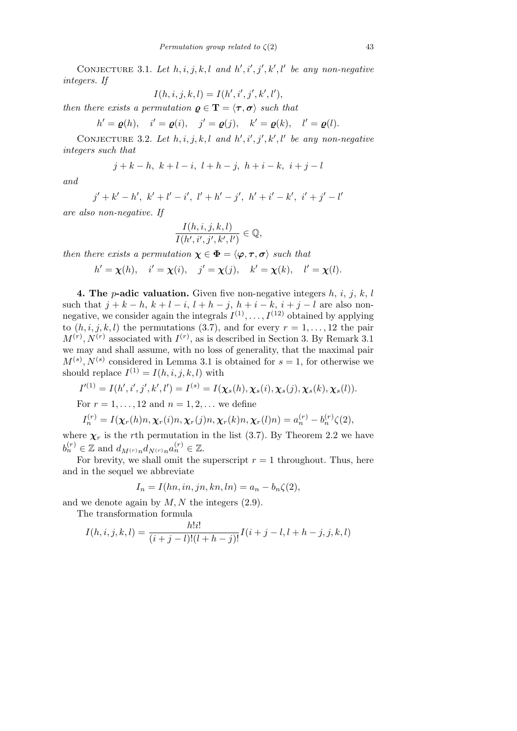CONJECTURE 3.1. Let  $h, i, j, k, l$  and  $h', i', j', k', l'$  be any non-negative *integers. If*

$$
I(h,i,j,k,l) = I(h',i',j',k',l'),
$$

*then there exists a permutation*  $\rho \in \mathbf{T} = \langle \tau, \sigma \rangle$  *such that* 

$$
h' = \varrho(h), \quad i' = \varrho(i), \quad j' = \varrho(j), \quad k' = \varrho(k), \quad l' = \varrho(l).
$$

CONJECTURE 3.2. Let  $h, i, j, k, l$  and  $h', i', j', k', l'$  be any non-negative *integers such that*

$$
j+k-h,\ k+l-i,\ l+h-j,\ h+i-k,\ i+j-l
$$

*and*

 $j' + k' - h', k' + l' - i', l' + h' - j', h' + i' - k', i' + j' - l'$ 

*are also non-negative. If*

$$
\frac{I(h,i,j,k,l)}{I(h',i',j',k',l')}\in\mathbb{Q},
$$

*then there exists a permutation*  $\chi \in \Phi = \langle \varphi, \tau, \sigma \rangle$  *such that* 

$$
h' = \chi(h), \quad i' = \chi(i), \quad j' = \chi(j), \quad k' = \chi(k), \quad l' = \chi(l).
$$

**4. The** *p***-adic valuation.** Given five non-negative integers  $h$ ,  $i$ ,  $j$ ,  $k$ ,  $l$ such that  $j + k - h$ ,  $k + l - i$ ,  $l + h - j$ ,  $h + i - k$ ,  $i + j - l$  are also nonnegative, we consider again the integrals  $I^{(1)}, \ldots, I^{(12)}$  obtained by applying to  $(h, i, j, k, l)$  the permutations  $(3.7)$ , and for every  $r = 1, \ldots, 12$  the pair  $M^{(r)}$ ,  $N^{(r)}$  associated with  $I^{(r)}$ , as is described in Section 3. By Remark 3.1 we may and shall assume, with no loss of generality, that the maximal pair  $M^{(s)}$ ,  $N^{(s)}$  considered in Lemma 3.1 is obtained for  $s = 1$ , for otherwise we should replace  $I^{(1)} = I(h, i, j, k, l)$  with

$$
I'^{(1)} = I(h', i', j', k', l') = I^{(s)} = I(\chi_s(h), \chi_s(i), \chi_s(j), \chi_s(k), \chi_s(l)).
$$

For  $r = 1, ..., 12$  and  $n = 1, 2, ...$  we define

$$
I_n^{(r)} = I(\boldsymbol{\chi}_r(h)n, \boldsymbol{\chi}_r(i)n, \boldsymbol{\chi}_r(j)n, \boldsymbol{\chi}_r(k)n, \boldsymbol{\chi}_r(l)n) = a_n^{(r)} - b_n^{(r)}\zeta(2),
$$

where  $\chi_r$  is the *r*th permutation in the list (3.7). By Theorem 2.2 we have  $b_n^{(r)} \in \mathbb{Z}$  and  $d_{M^{(r)}n} d_{N^{(r)}n} a_n^{(r)} \in \mathbb{Z}$ .

For brevity, we shall omit the superscript  $r = 1$  throughout. Thus, here and in the sequel we abbreviate

$$
I_n = I(hn, in, jn, kn, ln) = a_n - b_n \zeta(2),
$$

and we denote again by *M, N* the integers (2.9).

The transformation formula

$$
I(h, i, j, k, l) = \frac{h!i!}{(i+j-l)!(l+h-j)!}I(i+j-l, l+h-j, j, k, l)
$$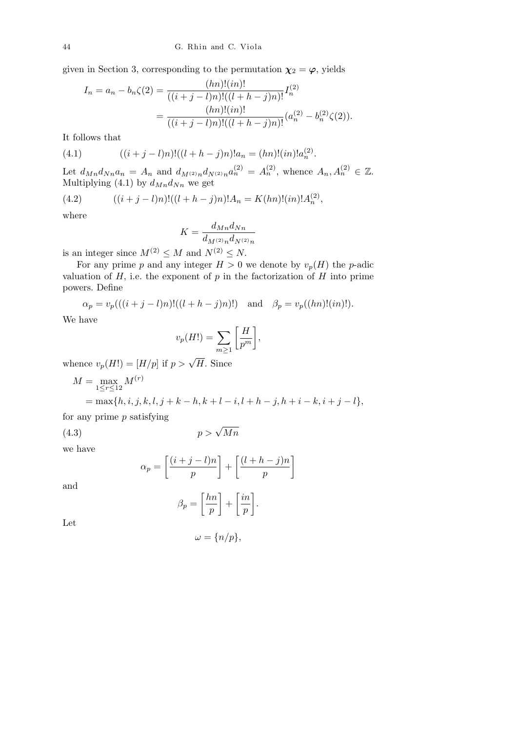given in Section 3, corresponding to the permutation  $\chi_2 = \varphi$ , yields

$$
I_n = a_n - b_n \zeta(2) = \frac{(hn)!(in)!}{((i+j-l)n)!((l+h-j)n)!} I_n^{(2)}
$$
  
= 
$$
\frac{(hn)!(in)!}{((i+j-l)n)!((l+h-j)n)!} (a_n^{(2)} - b_n^{(2)}\zeta(2)).
$$

It follows that

(4.1) 
$$
((i+j-l)n)!((l+h-j)n)!a_n = (hn)!(in)!a_n^{(2)}.
$$

Let  $d_{Mn}d_{Nn}a_n = A_n$  and  $d_{M^{(2)}n}d_{N^{(2)}n}a_n^{(2)} = A_n^{(2)}$ , whence  $A_n, A_n^{(2)} \in \mathbb{Z}$ . Multiplying (4.1) by  $d_{Mn}d_{Nn}$  we get

(4.2) 
$$
((i+j-l)n)!((l+h-j)n)!A_n = K(hn)!(in)!A_n^{(2)},
$$

where

$$
K = \frac{d_{Mn}d_{Nn}}{d_{M^{(2)}n}d_{N^{(2)}n}}
$$

is an integer since  $M^{(2)} \leq M$  and  $N^{(2)} \leq N$ .

For any prime *p* and any integer  $H > 0$  we denote by  $v_p(H)$  the *p*-adic valuation of  $H$ , i.e. the exponent of  $p$  in the factorization of  $H$  into prime powers. Define

$$
\alpha_p = v_p(((i+j-l)n)!((l+h-j)n)!)
$$
 and  $\beta_p = v_p((hn)!(in)!)$ .

We have

$$
v_p(H!) = \sum_{m \ge 1} \left[ \frac{H}{p^m} \right],
$$

whence  $v_p(H!) = [H/p]$  if  $p > \sqrt{H}$ . Since

$$
M = \max_{1 \le r \le 12} M^{(r)}
$$
  
= max{h, i, j, k, l, j + k - h, k + l - i, l + h - j, h + i - k, i + j - l},

for any prime *p* satisfying

(4.3) 
$$
p > \sqrt{Mn}
$$

we have

$$
\alpha_p = \left[\frac{(i+j-l)n}{p}\right] + \left[\frac{(l+h-j)n}{p}\right]
$$

and

$$
\beta_p = \left[\frac{hn}{p}\right] + \left[\frac{in}{p}\right].
$$

Let

$$
\omega = \{n/p\},\
$$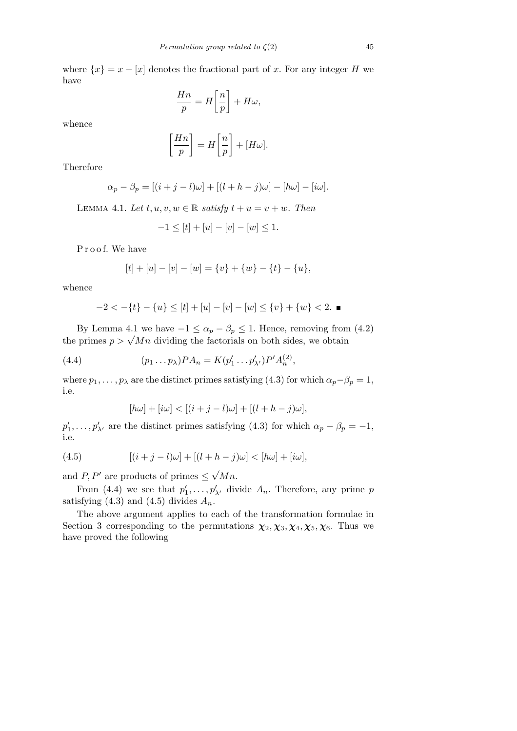where  $\{x\} = x - [x]$  denotes the fractional part of *x*. For any integer *H* we have

$$
\frac{Hn}{p} = H\left[\frac{n}{p}\right] + H\omega,
$$

whence

$$
\left[\frac{Hn}{p}\right] = H\left[\frac{n}{p}\right] + [H\omega].
$$

Therefore

$$
\alpha_p - \beta_p = [(i+j-l)\omega] + [(l+h-j)\omega] - [h\omega] - [i\omega].
$$

LEMMA 4.1. Let  $t, u, v, w \in \mathbb{R}$  *satisfy*  $t + u = v + w$ . Then

$$
-1 \leq [t] + [u] - [v] - [w] \leq 1.
$$

Proof. We have

$$
[t] + [u] - [v] - [w] = \{v\} + \{w\} - \{t\} - \{u\},\
$$

whence

$$
-2 < -\{t\} - \{u\} \le [t] + [u] - [v] - [w] \le \{v\} + \{w\} < 2.
$$

By Lemma 4.1 we have  $-1 \leq \alpha_p - \beta_p \leq 1$ . Hence, removing from (4.2) by Lemma 4.1 we have  $-1 \le \alpha_p - \beta_p \le 1$ . Hence, removing from<br>the primes  $p > \sqrt{Mn}$  dividing the factorials on both sides, we obtain

(4.4) 
$$
(p_1 \dots p_\lambda) P A_n = K(p'_1 \dots p'_{\lambda'}) P' A_n^{(2)},
$$

where  $p_1, \ldots, p_\lambda$  are the distinct primes satisfying (4.3) for which  $\alpha_p - \beta_p = 1$ , i.e.

$$
[h\omega] + [i\omega] < [(i+j-l)\omega] + [(l+h-j)\omega],
$$

 $p'_1, \ldots, p'_{\lambda'}$  are the distinct primes satisfying (4.3) for which  $\alpha_p - \beta_p = -1$ , i.e.

(4.5) 
$$
[(i+j-l)\omega] + [(l+h-j)\omega] < [h\omega] + [i\omega],
$$

and *P*, *P*<sup>*i*</sup> are products of primes  $\leq$ *Mn.*

From (4.4) we see that  $p'_1, \ldots, p'_{\lambda'}$  divide  $A_n$ . Therefore, any prime *p* satisfying (4.3) and (4.5) divides  $A_n$ .

The above argument applies to each of the transformation formulae in Section 3 corresponding to the permutations  $\chi_2, \chi_3, \chi_4, \chi_5, \chi_6$ . Thus we have proved the following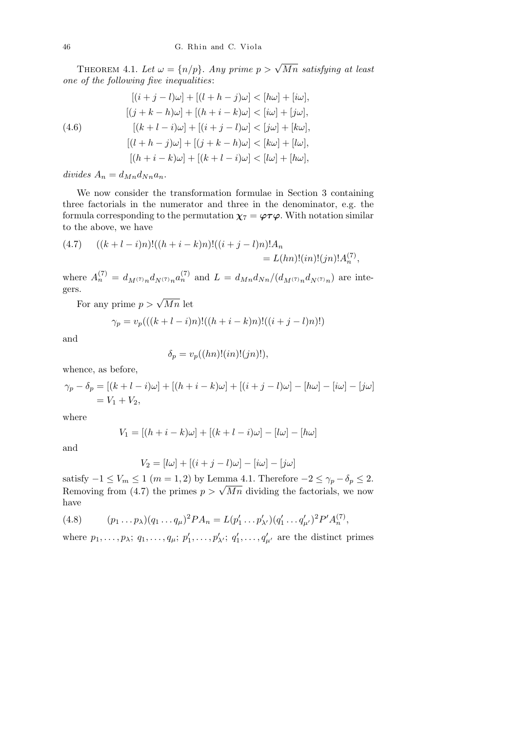THEOREM 4.1. Let  $\omega = \{n/p\}$ . Any prime  $p > \sqrt{Mn}$  satisfying at least *one of the following five inequalities*:

(4.6)  
\n
$$
[(i+j-l)\omega] + [(l+h-j)\omega] < [h\omega] + [i\omega],
$$
\n
$$
[(j+k-h)\omega] + [(h+i-k)\omega] < [i\omega] + [j\omega],
$$
\n
$$
[(k+l-i)\omega] + [(i+j-l)\omega] < [j\omega] + [k\omega],
$$
\n
$$
[(l+h-j)\omega] + [(j+k-h)\omega] < [k\omega] + [l\omega],
$$
\n
$$
[(h+i-k)\omega] + [(k+l-i)\omega] < [l\omega] + [h\omega],
$$

 $divides A_n = d_{Mn}d_{Nn}a_n$ .

We now consider the transformation formulae in Section 3 containing three factorials in the numerator and three in the denominator, e.g. the formula corresponding to the permutation  $\chi_7 = \varphi \tau \varphi$ . With notation similar to the above, we have

(4.7) 
$$
((k+l-i)n)!((h+i-k)n)!((i+j-l)n)!A_n = L(hn)!(in)!(jn)!A_n^{(7)},
$$

where  $A_n^{(7)} = d_{M^{(7)}n} d_{N^{(7)}n} a_n^{(7)}$  and  $L = d_{Mn} d_{Nn}/(d_{M^{(7)}n} d_{N^{(7)}n})$  are integers.

For any prime  $p > \sqrt{Mn}$  let

$$
\gamma_p = v_p(((k+l-i)n)!((h+i-k)n)!((i+j-l)n)!)
$$

and

$$
\delta_p = v_p((hn)!(in)!(jn)!),
$$

whence, as before,

$$
\gamma_p - \delta_p = [(k + l - i)\omega] + [(h + i - k)\omega] + [(i + j - l)\omega] - [h\omega] - [i\omega] - [j\omega]
$$
  
=  $V_1 + V_2$ ,

where

$$
V_1 = [(h + i - k)\omega] + [(k + l - i)\omega] - [l\omega] - [h\omega]
$$

and

$$
V_2 = [l\omega] + [(i+j-l)\omega] - [i\omega] - [j\omega]
$$

satisfy  $-1 \leq V_m \leq 1$  (*m* = 1, 2) by Lemma 4.1. Therefore  $-2 \leq \gamma_p - \delta_p \leq 2$ . Removing from (4.7) the primes  $p > \sqrt{Mn}$  dividing the factorials, we now Removing from (4.7) the primes  $p > \sqrt{Mn}$  dividing the factorials, we now have

(4.8) 
$$
(p_1 \dots p_\lambda)(q_1 \dots q_\mu)^2 P A_n = L(p'_1 \dots p'_{\lambda'}) (q'_1 \dots q'_{\mu'})^2 P' A_n^{(7)},
$$

where  $p_1, \ldots, p_\lambda; q_1, \ldots, q_\mu; p'_1, \ldots, p'_{\lambda'}; q'_1, \ldots, q'_{\mu'}$  are the distinct primes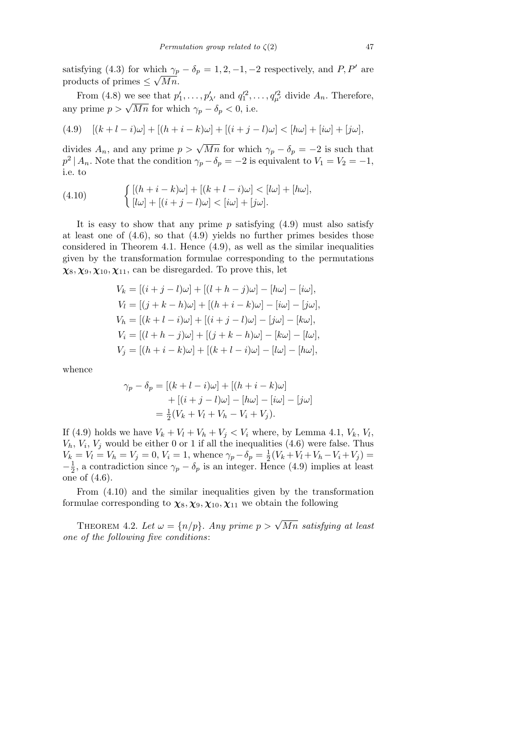satisfying (4.3) for which  $\gamma_p - \delta_p = 1, 2, -1, -2$  respectively, and *P*, *P<sup><i>i*</sup></sup> are products of primes  $\leq \sqrt{Mn}$ .

From (4.8) we see that  $p'_1, \ldots, p'_{\lambda'}$  and  $q'^2_1, \ldots, q'^2_{\mu'}$  divide  $A_n$ . Therefore, any prime  $p > \sqrt{Mn}$  for which  $\gamma_p - \delta_p < 0$ , i.e.

(4.9) 
$$
[(k+l-i)\omega] + [(h+i-k)\omega] + [(i+j-l)\omega] < [h\omega] + [i\omega] + [j\omega],
$$

divides  $A_n$ , and any prime  $p > \sqrt{Mn}$  for which  $\gamma_p - \delta_p = -2$  is such that  $p^2 \mid A_n$ . Note that the condition  $\gamma_p - \delta_p = -2$  is equivalent to  $V_1 = V_2 = -1$ , i.e. to

(4.10) 
$$
\begin{cases} [(h+i-k)\omega] + [(k+l-i)\omega] < [l\omega] + [h\omega], \\ [l\omega] + [(i+j-l)\omega] < [i\omega] + [j\omega]. \end{cases}
$$

It is easy to show that any prime *p* satisfying (4.9) must also satisfy at least one of (4.6), so that (4.9) yields no further primes besides those considered in Theorem 4.1. Hence  $(4.9)$ , as well as the similar inequalities given by the transformation formulae corresponding to the permutations  $\chi_8, \chi_9, \chi_{10}, \chi_{11}$ , can be disregarded. To prove this, let

$$
V_k = [(i + j - l)\omega] + [(l + h - j)\omega] - [h\omega] - [i\omega],
$$
  
\n
$$
V_l = [(j + k - h)\omega] + [(h + i - k)\omega] - [i\omega] - [j\omega],
$$
  
\n
$$
V_h = [(k + l - i)\omega] + [(i + j - l)\omega] - [j\omega] - [k\omega],
$$
  
\n
$$
V_i = [(l + h - j)\omega] + [(j + k - h)\omega] - [k\omega] - [l\omega],
$$
  
\n
$$
V_j = [(h + i - k)\omega] + [(k + l - i)\omega] - [l\omega] - [h\omega],
$$

whence

$$
\gamma_p - \delta_p = [(k + l - i)\omega] + [(h + i - k)\omega] + [(i + j - l)\omega] - [h\omega] - [i\omega] - [j\omega] = \frac{1}{2}(V_k + V_l + V_h - V_i + V_j).
$$

If (4.9) holds we have  $V_k + V_l + V_h + V_j < V_i$  where, by Lemma 4.1,  $V_k$ ,  $V_l$ ,  $V_h$ ,  $V_i$ ,  $V_j$  would be either 0 or 1 if all the inequalities (4.6) were false. Thus  $V_k = V_l = V_h = V_j = 0, V_i = 1$ , whence  $\gamma_p - \delta_p = \frac{1}{2}$  $\frac{1}{2}(V_k + V_l + V_h - V_i + V_j) =$ *−* 1  $\frac{1}{2}$ , a contradiction since  $\gamma_p - \delta_p$  is an integer. Hence (4.9) implies at least one of (4.6).

From (4.10) and the similar inequalities given by the transformation formulae corresponding to  $\chi_8, \chi_9, \chi_{10}, \chi_{11}$  we obtain the following

THEOREM 4.2. Let  $\omega = \{n/p\}$ . Any prime  $p > \sqrt{Mn}$  satisfying at least *one of the following five conditions*: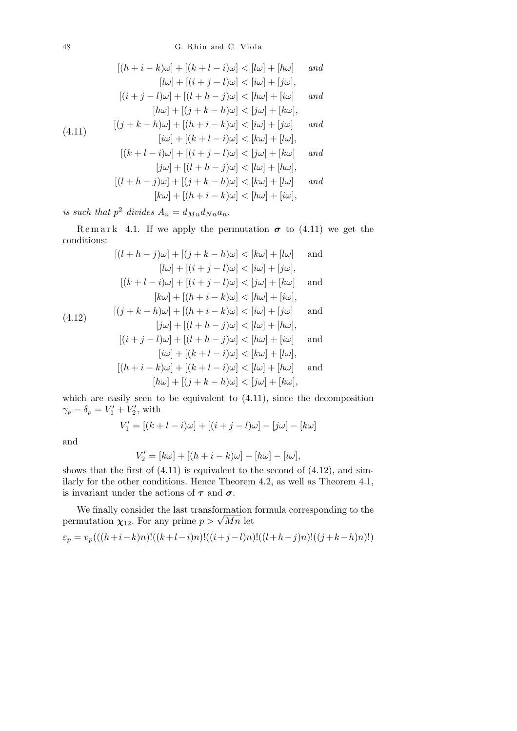$$
[(h+i-k)\omega] + [(k+l-i)\omega] < [l\omega] + [h\omega] \quad \text{and}
$$
\n
$$
[l\omega] + [(i+j-l)\omega] < [i\omega] + [j\omega],
$$
\n
$$
[(i+j-l)\omega] + [(l+h-j)\omega] < [h\omega] + [i\omega] \quad \text{and}
$$
\n
$$
[h\omega] + [(j+k-h)\omega] < [j\omega] + [k\omega],
$$
\n
$$
[(j+k-h)\omega] + [(h+i-k)\omega] < [i\omega] + [j\omega] \quad \text{and}
$$
\n
$$
[i\omega] + [(k+l-i)\omega] < [k\omega] + [l\omega],
$$
\n
$$
[(k+l-i)\omega] + [(i+j-l)\omega] < [j\omega] + [k\omega] \quad \text{and}
$$
\n
$$
[j\omega] + [(l+h-j)\omega] < [l\omega] + [h\omega],
$$
\n
$$
[(l+h-j)\omega] + [(j+k-h)\omega] < [k\omega] + [l\omega] \quad \text{and}
$$
\n
$$
[k\omega] + [(h+i-k)\omega] < [h\omega] + [i\omega],
$$

is such that  $p^2$  divides  $A_n = d_{Mn}d_{Nn}a_n$ .

Remark 4.1. If we apply the permutation  $\sigma$  to (4.11) we get the conditions:

$$
[(l+h-j)\omega] + [(j+k-h)\omega] < [k\omega] + [l\omega] \quad \text{and}
$$
\n
$$
[l\omega] + [(i+j-l)\omega] < [i\omega] + [j\omega],
$$
\n
$$
[(k+l-i)\omega] + [(i+j-l)\omega] < [j\omega] + [k\omega] \quad \text{and}
$$
\n
$$
[k\omega] + [(h+i-k)\omega] < [h\omega] + [i\omega],
$$
\n
$$
[(j+k-h)\omega] + [(h+i-k)\omega] < [i\omega] + [j\omega] \quad \text{and}
$$
\n
$$
[j\omega] + [(l+h-j)\omega] < [l\omega] + [h\omega],
$$
\n
$$
[(i+j-l)\omega] + [(l+h-j)\omega] < [h\omega] + [i\omega] \quad \text{and}
$$
\n
$$
[i\omega] + [(k+l-i)\omega] < [k\omega] + [l\omega],
$$
\n
$$
[(h+i-k)\omega] + [(k+l-i)\omega] < [l\omega] + [h\omega] \quad \text{and}
$$
\n
$$
[h\omega] + [(j+k-h)\omega] < [j\omega] + [k\omega],
$$

which are easily seen to be equivalent to  $(4.11)$ , since the decomposition  $\gamma_p - \delta_p = V'_1 + V'_2$ , with

$$
V_1' = [(k + l - i)\omega] + [(i + j - l)\omega] - [j\omega] - [k\omega]
$$

and

$$
V_2' = [k\omega] + [(h+i-k)\omega] - [h\omega] - [i\omega],
$$

shows that the first of  $(4.11)$  is equivalent to the second of  $(4.12)$ , and similarly for the other conditions. Hence Theorem 4.2, as well as Theorem 4.1, is invariant under the actions of *τ* and *σ.*

We finally consider the last transformation formula corresponding to the we nnany consider the last transformation<br>permutation  $\chi_{12}$ . For any prime  $p > \sqrt{Mn}$  let

$$
\varepsilon_p = v_p(((h+i-k)n)!((k+l-i)n)!((i+j-l)n)!((l+h-j)n)!((j+k-h)n)!))
$$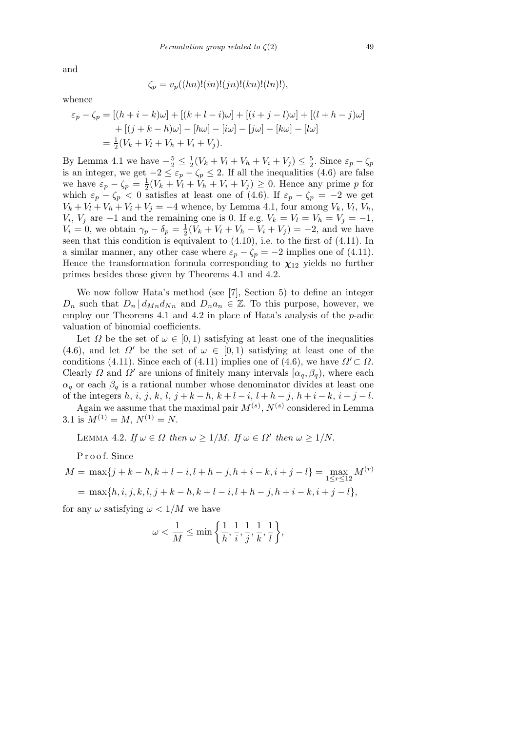and

$$
\zeta_p = v_p((hn)!(in)!(jn)!(kn)!(ln)!),
$$

whence

$$
\varepsilon_p - \zeta_p = [(h + i - k)\omega] + [(k + l - i)\omega] + [(i + j - l)\omega] + [(l + h - j)\omega] + [(j + k - h)\omega] - [h\omega] - [i\omega] - [j\omega] - [k\omega] - [l\omega] = \frac{1}{2}(V_k + V_l + V_h + V_i + V_j).
$$

By Lemma 4.1 we have  $-\frac{5}{2} \leq \frac{1}{2}$  $\frac{1}{2}(V_k + V_l + V_h + V_i + V_j) \leq \frac{5}{2}$  $\frac{5}{2}$ . Since  $\varepsilon_p - \zeta_p$ is an integer, we get  $-2 \leq \varepsilon_p - \zeta_p \leq 2$ . If all the inequalities (4.6) are false we have  $\varepsilon_p - \zeta_p = \frac{1}{2}$  $\frac{1}{2}(V_k + V_l + V_h + V_i + V_j) \geq 0$ . Hence any prime *p* for which  $\varepsilon_p - \zeta_p < 0$  satisfies at least one of (4.6). If  $\varepsilon_p - \zeta_p = -2$  we get  $V_k + V_l + V_h + V_i + V_j = -4$  whence, by Lemma 4.1, four among  $V_k$ ,  $V_l$ ,  $V_h$ , *V<sub>i</sub>*, *V<sub>j</sub>* are  $-1$  and the remaining one is 0. If e.g.  $V_k = V_l = V_h = V_j = -1$ ,  $V_i = 0$ , we obtain  $\gamma_p - \delta_p = \frac{1}{2}$  $\frac{1}{2}(V_k + V_l + V_h - V_i + V_j) = -2$ , and we have seen that this condition is equivalent to (4.10), i.e. to the first of (4.11). In a similar manner, any other case where  $\varepsilon_p - \zeta_p = -2$  implies one of (4.11). Hence the transformation formula corresponding to  $\chi_{12}$  yields no further primes besides those given by Theorems 4.1 and 4.2.

We now follow Hata's method (see [7], Section 5) to define an integer *D<sub>n</sub>* such that  $D_n | d_{M_n} d_{N_n}$  and  $D_n a_n \in \mathbb{Z}$ . To this purpose, however, we employ our Theorems 4.1 and 4.2 in place of Hata's analysis of the *p*-adic valuation of binomial coefficients.

Let  $\Omega$  be the set of  $\omega \in [0,1)$  satisfying at least one of the inequalities (4.6), and let  $\Omega'$  be the set of  $\omega \in [0,1)$  satisfying at least one of the conditions (4.11). Since each of (4.11) implies one of (4.6), we have  $\Omega' \subset \Omega$ . Clearly *Ω* and *Ω*<sup>*f*</sup> are unions of finitely many intervals  $[\alpha_q, \beta_q)$ , where each  $\alpha_q$  or each  $\beta_q$  is a rational number whose denominator divides at least one of the integers h, i, j, k, l, j + k - h, k + l - i, l + h - j, h + i - k, i + j - l.

Again we assume that the maximal pair  $M^{(s)}$ ,  $N^{(s)}$  considered in Lemma 3.1 is  $M^{(1)} = M$ ,  $N^{(1)} = N$ .

LEMMA 4.2. *If*  $\omega \in \Omega$  *then*  $\omega \geq 1/M$ . *If*  $\omega \in \Omega'$  *then*  $\omega \geq 1/N$ .

P r o o f. Since

$$
M = \max\{j + k - h, k + l - i, l + h - j, h + i - k, i + j - l\} = \max_{1 \le r \le 12} M^{(r)}
$$
  
= 
$$
\max\{h, i, j, k, l, j + k - h, k + l - i, l + h - j, h + i - k, i + j - l\},\
$$

for any  $\omega$  satisfying  $\omega < 1/M$  we have

$$
\omega < \frac{1}{M} \le \min\bigg\{\frac{1}{h}, \frac{1}{i}, \frac{1}{j}, \frac{1}{k}, \frac{1}{l}\bigg\},\
$$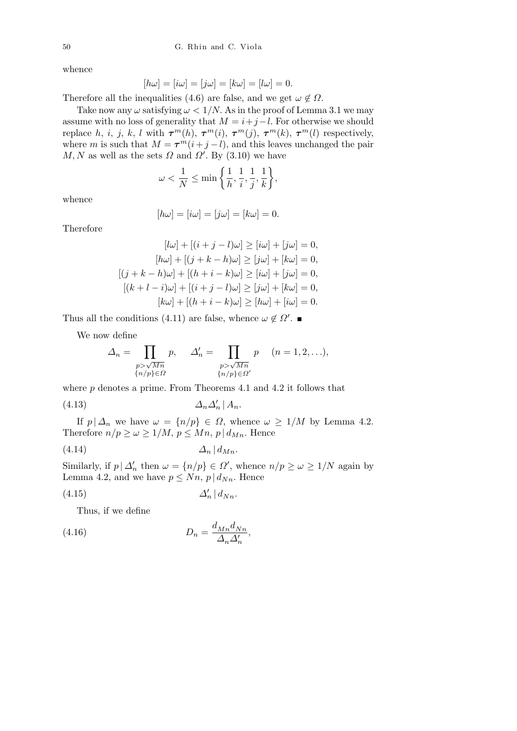whence

$$
[h\omega] = [i\omega] = [j\omega] = [k\omega] = [l\omega] = 0.
$$

Therefore all the inequalities (4.6) are false, and we get  $\omega \notin \Omega$ .

Take now any  $\omega$  satisfying  $\omega < 1/N$ . As in the proof of Lemma 3.1 we may assume with no loss of generality that  $M = i + j - l$ . For otherwise we should replace *h, i, j, k, l* with  $\tau^{m}(h)$ ,  $\tau^{m}(i)$ ,  $\tau^{m}(j)$ ,  $\tau^{m}(k)$ ,  $\tau^{m}(l)$  respectively, where *m* is such that  $M = \tau^m(i+j-l)$ , and this leaves unchanged the pair  $M, N$  as well as the sets  $\Omega$  and  $\Omega'$ . By (3.10) we have

$$
\omega < \frac{1}{N} \le \min\left\{\frac{1}{h}, \frac{1}{i}, \frac{1}{j}, \frac{1}{k}\right\},\
$$

whence

$$
[h\omega] = [i\omega] = [j\omega] = [k\omega] = 0.
$$

Therefore

$$
[l\omega] + [(i+j-l)\omega] \ge [i\omega] + [j\omega] = 0,
$$
  
\n
$$
[h\omega] + [(j+k-h)\omega] \ge [j\omega] + [k\omega] = 0,
$$
  
\n
$$
[(j+k-h)\omega] + [(h+i-k)\omega] \ge [i\omega] + [j\omega] = 0,
$$
  
\n
$$
[(k+l-i)\omega] + [(i+j-l)\omega] \ge [j\omega] + [k\omega] = 0,
$$
  
\n
$$
[k\omega] + [(h+i-k)\omega] \ge [h\omega] + [i\omega] = 0.
$$

Thus all the conditions (4.11) are false, whence  $\omega \notin \Omega'$ .

We now define

$$
\Delta_n = \prod_{\substack{p > \sqrt{Mn} \\ \{n/p\} \in \Omega}} p, \quad \Delta'_n = \prod_{\substack{p > \sqrt{Mn} \\ \{n/p\} \in \Omega'}} p \quad (n = 1, 2, \ldots),
$$

where *p* denotes a prime. From Theorems 4.1 and 4.2 it follows that (4.13)  $\Delta_n \Delta'_n | A_n$ .

If  $p | \Delta_n$  we have  $\omega = \{n/p\} \in \Omega$ , whence  $\omega \geq 1/M$  by Lemma 4.2. Therefore  $n/p \geq \omega \geq 1/M$ ,  $p \leq Mn$ ,  $p \mid d_{Mn}$ . Hence

$$
(4.14) \t\t \t\t \Delta_n \, | \, d_{Mn}.
$$

Similarly, if  $p | \Delta'_n$  then  $\omega = \{n/p\} \in \Omega'$ , whence  $n/p \geq \omega \geq 1/N$  again by Lemma 4.2, and we have  $p \leq Nn$ ,  $p \mid d_{Nn}$ . Hence

$$
(4.15)\qquad \qquad \Delta'_n\,|\,d_{Nn}.
$$

Thus, if we define

(4.16) 
$$
D_n = \frac{d_{Mn} d_{Nn}}{\Delta_n \Delta'_n},
$$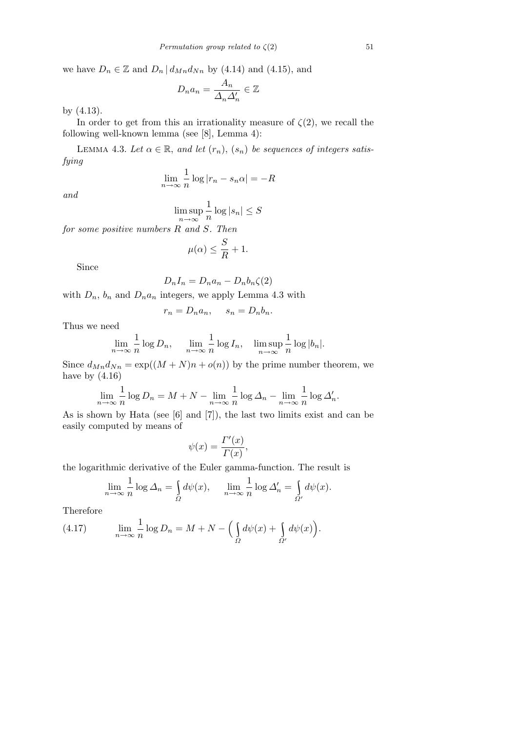we have  $D_n \in \mathbb{Z}$  and  $D_n | d_{Mn} d_{Nn}$  by (4.14) and (4.15), and

$$
D_n a_n = \frac{A_n}{\Delta_n \Delta'_n} \in \mathbb{Z}
$$

by (4.13).

In order to get from this an irrationality measure of  $\zeta(2)$ , we recall the following well-known lemma (see [8], Lemma 4):

LEMMA 4.3. Let  $\alpha \in \mathbb{R}$ *, and let*  $(r_n)$ *,*  $(s_n)$  *be sequences of integers satisfying*

$$
\lim_{n \to \infty} \frac{1}{n} \log |r_n - s_n \alpha| = -R
$$

*and*

$$
\limsup_{n \to \infty} \frac{1}{n} \log |s_n| \le S
$$

*for some positive numbers R and S. Then*

$$
\mu(\alpha) \le \frac{S}{R} + 1.
$$

Since

$$
D_n I_n = D_n a_n - D_n b_n \zeta(2)
$$

with  $D_n$ ,  $b_n$  and  $D_n a_n$  integers, we apply Lemma 4.3 with

$$
r_n = D_n a_n, \quad s_n = D_n b_n.
$$

Thus we need

$$
\lim_{n \to \infty} \frac{1}{n} \log D_n, \quad \lim_{n \to \infty} \frac{1}{n} \log I_n, \quad \limsup_{n \to \infty} \frac{1}{n} \log |b_n|.
$$

Since  $d_{Mn}d_{Nn} = \exp((M+N)n + o(n))$  by the prime number theorem, we have by  $(4.16)$ 

$$
\lim_{n \to \infty} \frac{1}{n} \log D_n = M + N - \lim_{n \to \infty} \frac{1}{n} \log \Delta_n - \lim_{n \to \infty} \frac{1}{n} \log \Delta'_n.
$$

As is shown by Hata (see [6] and [7]), the last two limits exist and can be easily computed by means of

$$
\psi(x) = \frac{\Gamma'(x)}{\Gamma(x)},
$$

the logarithmic derivative of the Euler gamma-function. The result is

$$
\lim_{n \to \infty} \frac{1}{n} \log \Delta_n = \int_{\Omega} d\psi(x), \quad \lim_{n \to \infty} \frac{1}{n} \log \Delta_n' = \int_{\Omega'} d\psi(x).
$$

Therefore

(4.17) 
$$
\lim_{n \to \infty} \frac{1}{n} \log D_n = M + N - \left( \int_{\Omega} d\psi(x) + \int_{\Omega'} d\psi(x) \right).
$$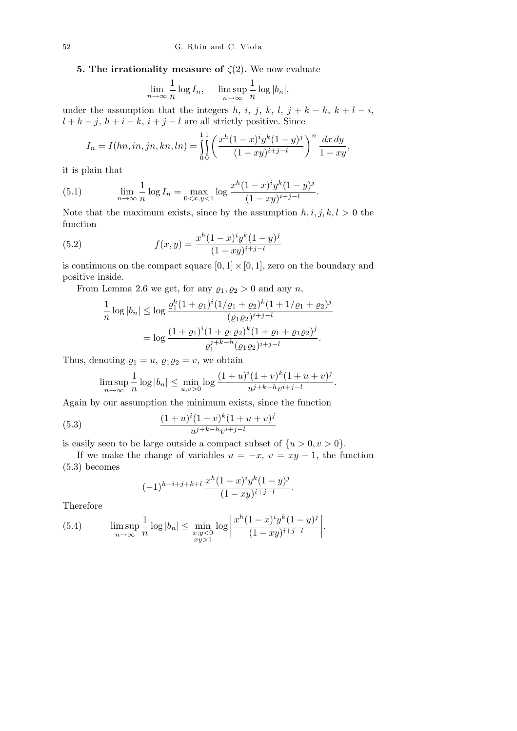**5. The irrationality measure of**  $\zeta(2)$ . We now evaluate

$$
\lim_{n \to \infty} \frac{1}{n} \log I_n, \quad \limsup_{n \to \infty} \frac{1}{n} \log |b_n|,
$$

under the assumption that the integers  $h$ ,  $i$ ,  $j$ ,  $k$ ,  $l$ ,  $j + k - h$ ,  $k + l - i$ ,  $l + h - j$ ,  $h + i - k$ ,  $i + j - l$  are all strictly positive. Since

$$
I_n = I(hn, in, jn, kn, ln) = \iint_{0}^{1} \left( \frac{x^h (1-x)^i y^k (1-y)^j}{(1-xy)^{i+j-l}} \right)^n \frac{dx dy}{1-xy},
$$

it is plain that

(5.1) 
$$
\lim_{n \to \infty} \frac{1}{n} \log I_n = \max_{0 < x, y < 1} \log \frac{x^h (1-x)^i y^k (1-y)^j}{(1-xy)^{i+j-l}}
$$

Note that the maximum exists, since by the assumption  $h, i, j, k, l > 0$  the function

*.*

(5.2) 
$$
f(x,y) = \frac{x^h(1-x)^iy^k(1-y)^j}{(1-xy)^{i+j-l}}
$$

is continuous on the compact square  $[0, 1] \times [0, 1]$ , zero on the boundary and positive inside.

From Lemma 2.6 we get, for any  $\rho_1, \rho_2 > 0$  and any *n*,

$$
\frac{1}{n}\log|b_n| \le \log\frac{\varrho_1^h(1+\varrho_1)^i(1/\varrho_1+\varrho_2)^k(1+1/\varrho_1+\varrho_2)^j}{(\varrho_1\varrho_2)^{i+j-l}}
$$

$$
= \log\frac{(1+\varrho_1)^i(1+\varrho_1\varrho_2)^k(1+\varrho_1+\varrho_1\varrho_2)^j}{\varrho_1^{j+k-h}(\varrho_1\varrho_2)^{i+j-l}}.
$$

Thus, denoting  $\rho_1 = u$ ,  $\rho_1 \rho_2 = v$ , we obtain

$$
\limsup_{n \to \infty} \frac{1}{n} \log |b_n| \le \min_{u,v > 0} \log \frac{(1+u)^i (1+v)^k (1+u+v)^j}{u^{j+k-h} v^{i+j-l}}.
$$

Again by our assumption the minimum exists, since the function

(5.3) 
$$
\frac{(1+u)^{i}(1+v)^{k}(1+u+v)^{j}}{u^{j+k-h}v^{i+j-l}}
$$

is easily seen to be large outside a compact subset of  $\{u > 0, v > 0\}$ .

If we make the change of variables  $u = -x$ ,  $v = xy - 1$ , the function (5.3) becomes

$$
(-1)^{h+i+j+k+l}\,\frac{x^h(1-x)^iy^k(1-y)^j}{(1-xy)^{i+j-l}}.
$$

Therefore

(5.4) 
$$
\limsup_{n \to \infty} \frac{1}{n} \log |b_n| \leq \min_{\substack{x,y < 0 \\ xy > 1}} \log \left| \frac{x^h (1-x)^i y^k (1-y)^j}{(1-xy)^{i+j-l}} \right|.
$$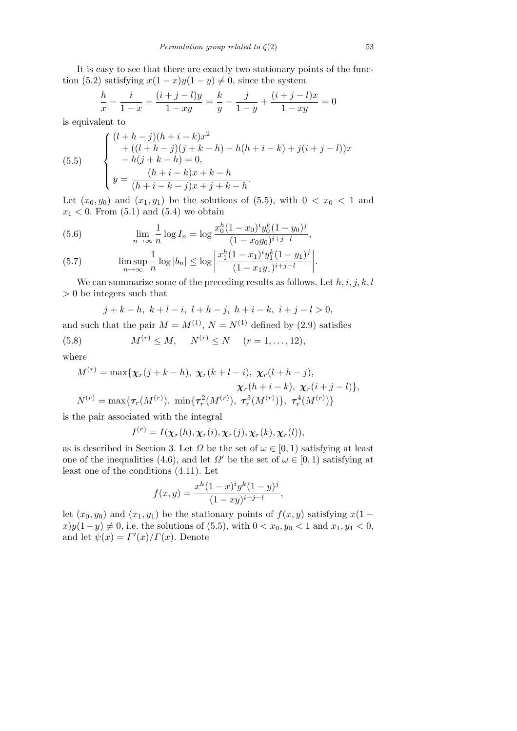It is easy to see that there are exactly two stationary points of the function (5.2) satisfying  $x(1-x)y(1-y) \neq 0$ , since the system

$$
\frac{h}{x} - \frac{i}{1-x} + \frac{(i+j-l)y}{1-xy} = \frac{k}{y} - \frac{j}{1-y} + \frac{(i+j-l)x}{1-xy} = 0
$$

is equivalent to

(5.5) 
$$
\begin{cases} (l+h-j)(h+i-k)x^2 \\ +( (l+h-j)(j+k-h) - h(h+i-k) + j(i+j-l))x \\ -h(j+k-h) = 0, \\ y = \frac{(h+i-k)x+k-h}{(h+i-k-j)x+j+k-h}. \end{cases}
$$

Let  $(x_0, y_0)$  and  $(x_1, y_1)$  be the solutions of  $(5.5)$ , with  $0 < x_0 < 1$  and  $x_1$  < 0. From  $(5.1)$  and  $(5.4)$  we obtain

(5.6) 
$$
\lim_{n \to \infty} \frac{1}{n} \log I_n = \log \frac{x_0^h (1 - x_0)^i y_0^k (1 - y_0)^j}{(1 - x_0 y_0)^{i+j-l}},
$$
  

$$
\lim_{n \to \infty} \frac{1}{n} \log |I_n| < \log \left| x_1^h (1 - x_1)^i y_1^k (1 - y_1)^j \right|
$$

(5.7) 
$$
\limsup_{n \to \infty} \frac{1}{n} \log |b_n| \leq \log \left| \frac{x_1^h (1-x_1)^i y_1^k (1-y_1)^j}{(1-x_1 y_1)^{i+j-l}} \right|.
$$

We can summarize some of the preceding results as follows. Let *h, i, j, k, l >* 0 be integers such that

$$
j + k - h, \ k + l - i, \ l + h - j, \ h + i - k, \ i + j - l > 0,
$$

and such that the pair  $M = M^{(1)}$ ,  $N = N^{(1)}$  defined by (2.9) satisfies

(5.8) 
$$
M^{(r)} \leq M, \quad N^{(r)} \leq N \quad (r = 1, ..., 12),
$$

where

$$
M^{(r)} = \max{\{\chi_r(j+k-h), \ \chi_r(k+l-i), \ \chi_r(l+h-j),\newline \chi_r(h+i-k), \ \chi_r(i+j-l)\}},
$$
  

$$
N^{(r)} = \max{\{\tau_r(M^{(r)}), \ \min{\{\tau_r^2(M^{(r)}), \ \tau_r^3(M^{(r)})\}}, \ \tau_r^4(M^{(r)})\}}
$$

is the pair associated with the integral

$$
I^{(r)} = I(\boldsymbol{\chi}_r(h), \boldsymbol{\chi}_r(i), \boldsymbol{\chi}_r(j), \boldsymbol{\chi}_r(k), \boldsymbol{\chi}_r(l)),
$$

as is described in Section 3. Let  $\Omega$  be the set of  $\omega \in [0,1)$  satisfying at least one of the inequalities (4.6), and let  $\Omega'$  be the set of  $\omega \in [0,1)$  satisfying at least one of the conditions (4.11). Let

$$
f(x,y) = \frac{x^h(1-x)^iy^k(1-y)^j}{(1-xy)^{i+j-l}},
$$

let  $(x_0, y_0)$  and  $(x_1, y_1)$  be the stationary points of  $f(x, y)$  satisfying  $x(1$  $x$ ) $y(1-y) \neq 0$ , i.e. the solutions of (5.5), with  $0 < x_0, y_0 < 1$  and  $x_1, y_1 < 0$ , and let  $\psi(x) = \Gamma'(x)/\Gamma(x)$ . Denote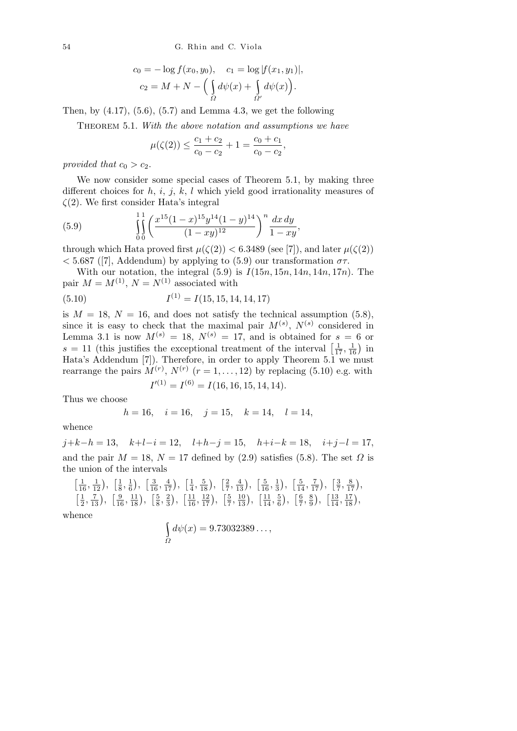$$
c_0 = -\log f(x_0, y_0), \quad c_1 = \log |f(x_1, y_1)|,
$$
  

$$
c_2 = M + N - \Big(\int_{\Omega} d\psi(x) + \int_{\Omega'} d\psi(x)\Big).
$$

Then, by  $(4.17)$ ,  $(5.6)$ ,  $(5.7)$  and Lemma 4.3, we get the following

Theorem 5.1. *With the above notation and assumptions we have*

$$
\mu(\zeta(2)) \le \frac{c_1 + c_2}{c_0 - c_2} + 1 = \frac{c_0 + c_1}{c_0 - c_2},
$$

*provided that*  $c_0 > c_2$ *.* 

We now consider some special cases of Theorem 5.1, by making three different choices for *h, i, j, k, l* which yield good irrationality measures of *ζ*(2)*.* We first consider Hata's integral

(5.9) 
$$
\int_{0}^{1} \left( \frac{x^{15}(1-x)^{15}y^{14}(1-y)^{14}}{(1-xy)^{12}} \right)^n \frac{dx \, dy}{1-xy},
$$

through which Hata proved first  $\mu(\zeta(2)) < 6.3489$  (see [7]), and later  $\mu(\zeta(2))$  $<$  5.687 ([7], Addendum) by applying to (5.9) our transformation  $\sigma \tau$ .

With our notation, the integral  $(5.9)$  is  $I(15n, 15n, 14n, 14n, 17n)$ . The pair  $M = M^{(1)}$ ,  $N = N^{(1)}$  associated with

(5.10) 
$$
I^{(1)} = I(15, 15, 14, 14, 17)
$$

is  $M = 18$ ,  $N = 16$ , and does not satisfy the technical assumption  $(5.8)$ , since it is easy to check that the maximal pair  $M^{(s)}$ ,  $N^{(s)}$  considered in Lemma 3.1 is now  $M^{(s)} = 18$ ,  $N^{(s)} = 17$ , and is obtained for  $s = 6$  or Lemma 3.1 is now  $M^{\circ} = 18$ ,  $N^{\circ} = 17$ , and is obtained for  $s = 11$  (this justifies the exceptional treatment of the interval [  $s = 0$  or<br> $\frac{1}{17}, \frac{1}{16}$  in Hata's Addendum [7]). Therefore, in order to apply Theorem 5.1 we must rearrange the pairs  $M^{(r)}$ ,  $N^{(r)}$   $(r = 1, \ldots, 12)$  by replacing (5.10) e.g. with  $I^{(1)} = I^{(6)} = I(16, 16, 15, 14, 14)$ .

Thus we choose

$$
h = 16
$$
,  $i = 16$ ,  $j = 15$ ,  $k = 14$ ,  $l = 14$ ,

whence

*j*+*k−h* = 13*, k*+*l−i* = 12*, l*+*h−j* = 15*, h*+*i−k* = 18*, i*+*j−l* = 17*,* and the pair  $M = 18$ ,  $N = 17$  defined by (2.9) satisfies (5.8). The set  $\Omega$  is the union of the intervals ՝<br>-

$$
\left[\frac{1}{16}, \frac{1}{12}\right), \left[\frac{1}{8}, \frac{1}{6}\right), \left[\frac{3}{16}, \frac{4}{17}\right), \left[\frac{1}{4}, \frac{5}{18}\right), \left[\frac{2}{7}, \frac{4}{13}\right), \left[\frac{5}{16}, \frac{1}{3}\right), \left[\frac{5}{14}, \frac{7}{17}\right), \left[\frac{3}{7}, \frac{8}{17}\right), \left[\frac{1}{2}, \frac{1}{13}\right), \left[\frac{5}{16}, \frac{2}{17}\right), \left[\frac{11}{16}, \frac{12}{17}\right), \left[\frac{5}{7}, \frac{10}{13}\right), \left[\frac{11}{14}, \frac{5}{6}\right), \left[\frac{6}{7}, \frac{8}{9}\right), \left[\frac{13}{14}, \frac{17}{18}\right), \left[\frac{11}{13}, \frac{17}{18}\right)
$$

whence

$$
\int_{\Omega} d\psi(x) = 9.73032389\dots,
$$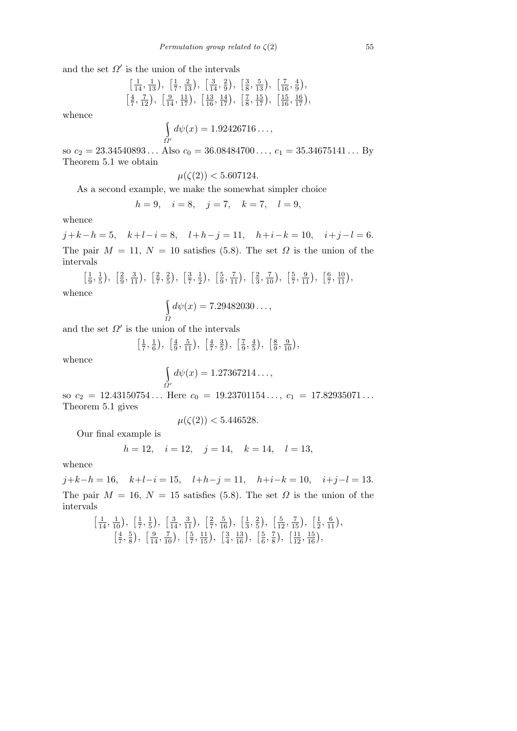and the set  $\Omega'$  is the union of the intervals

$$
\left[\frac{1}{14}, \frac{1}{13}\right), \left[\frac{1}{7}, \frac{2}{13}\right), \left[\frac{3}{14}, \frac{2}{9}\right), \left[\frac{3}{8}, \frac{5}{13}\right), \left[\frac{7}{16}, \frac{4}{9}\right), \left[\frac{4}{7}, \frac{7}{12}\right), \left[\frac{9}{14}, \frac{11}{17}\right), \left[\frac{13}{16}, \frac{14}{17}\right), \left[\frac{7}{8}, \frac{15}{17}\right), \left[\frac{15}{16}, \frac{16}{17}\right), \right\}
$$

whence

$$
\int_{\Omega'} d\psi(x) = 1.92426716\dots,
$$

so  $c_2 = 23.34540893...$  Also  $c_0 = 36.08484700...,$   $c_1 = 35.34675141...$  By Theorem 5.1 we obtain

 $\mu(\zeta(2))$  < 5.607124*.* 

As a second example, we make the somewhat simpler choice

$$
h = 9
$$
,  $i = 8$ ,  $j = 7$ ,  $k = 7$ ,  $l = 9$ ,

whence

*j* +*k−h* = 5*, k*+*l−i* = 8*, l*+*h−j* = 11*, h*+*i−k* = 10*, i*+*j −l* = 6*.* The pair  $M = 11$ ,  $N = 10$  satisfies (5.8). The set  $\Omega$  is the union of the intervals

 $\sqrt{1}$  $\frac{1}{9}, \frac{1}{5}$ 5  $\ddot{\phantom{0}}$ *,*  $\sqrt{2}$  $\frac{2}{9}, \frac{3}{11}$ ,  $\sqrt{2}$  $\frac{2}{7}, \frac{2}{5}$ 5  $\ddot{\phantom{0}}$ *,*  $\sqrt{3}$  $\frac{3}{7}, \frac{1}{2}$ 2  $\ddot{\phantom{0}}$ *,*  $\sqrt{5}$  $\frac{5}{9}, \frac{7}{11}$ ,  $\sqrt{2}$  $\frac{2}{3}, \frac{7}{10}$ ,  $\sqrt{5}$  $\frac{5}{7}, \frac{9}{11}$ ,  $\sqrt{6}$  $\frac{6}{7}, \frac{10}{11}$ ,

whence

$$
\int_{\Omega} d\psi(x) = 7.29482030\ldots,
$$

and the set  $\Omega'$  is the union of the intervals

์<br>| [ 1  $\frac{1}{7}, \frac{1}{6}$ 6  $\overline{a}$ *,* - 4  $\frac{4}{9}, \frac{5}{11}$ , - 4  $\frac{4}{7}, \frac{3}{5}$ 5  $\frac{1}{\sqrt{2}}$ *,* ์<br>|7  $\frac{7}{9}, \frac{4}{5}$ 5  $\overline{a}$ *,* - 8  $\frac{8}{9}, \frac{9}{10}$ ,

whence

$$
\int_{\Omega'} d\psi(x) = 1.27367214\ldots,
$$

so  $c_2 = 12.43150754...$  Here  $c_0 = 19.23701154..., c_1 = 17.82935071...$ Theorem 5.1 gives

$$
\mu(\zeta(2)) < 5.446528.
$$

Our final example is

$$
h = 12
$$
,  $i = 12$ ,  $j = 14$ ,  $k = 14$ ,  $l = 13$ ,

whence

*j*+*k−h* = 16*, k*+*l−i* = 15*, l*+*h−j* = 11*, h*+*i−k* = 10*, i*+*j−l* = 13*.* The pair  $M = 16$ ,  $N = 15$  satisfies (5.8). The set  $\Omega$  is the union of the intervals

$$
\left[\frac{1}{14}, \frac{1}{10}\right), \left[\frac{1}{7}, \frac{1}{5}\right), \left[\frac{3}{14}, \frac{3}{11}\right), \left[\frac{2}{7}, \frac{5}{16}\right), \left[\frac{1}{3}, \frac{2}{5}\right), \left[\frac{5}{12}, \frac{7}{15}\right), \left[\frac{1}{2}, \frac{6}{11}\right), \left[\frac{4}{7}, \frac{5}{8}\right), \left[\frac{9}{14}, \frac{7}{10}\right), \left[\frac{5}{7}, \frac{11}{15}\right), \left[\frac{3}{4}, \frac{13}{16}\right), \left[\frac{5}{6}, \frac{7}{8}\right), \left[\frac{11}{12}, \frac{15}{16}\right), \left[\frac{9}{12}, \frac{11}{16}\right)
$$